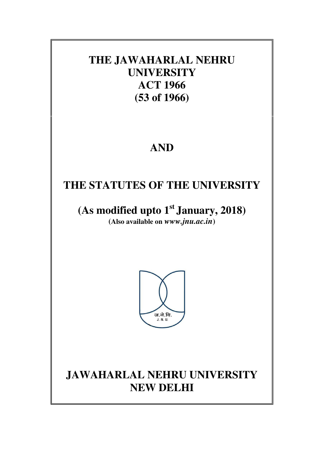## **THE JAWAHARLAL NEHRU UNIVERSITY ACT 1966 (53 of 1966)**

# **AND**

# **THE STATUTES OF THE UNIVERSITY**

**(As modified upto 1st January, 2018) (Also available on** *www.jnu.ac.in***)** 



# **JAWAHARLAL NEHRU UNIVERSITY NEW DELHI**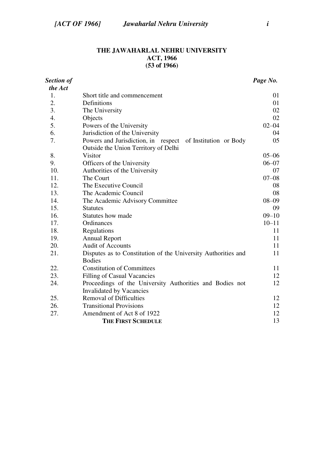## **THE JAWAHARLAL NEHRU UNIVERSITY ACT, 1966 (53 of 1966)**

| <b>Section of</b> |                                                                                | Page No.  |  |  |  |  |  |  |
|-------------------|--------------------------------------------------------------------------------|-----------|--|--|--|--|--|--|
| the Act           |                                                                                |           |  |  |  |  |  |  |
| 1.                | Short title and commencement                                                   | 01        |  |  |  |  |  |  |
| 2.                | Definitions                                                                    | 01        |  |  |  |  |  |  |
| 3.                | The University                                                                 | 02        |  |  |  |  |  |  |
| 4.                | Objects                                                                        | 02        |  |  |  |  |  |  |
| 5.                | Powers of the University                                                       |           |  |  |  |  |  |  |
| 6.                | Jurisdiction of the University                                                 | 04        |  |  |  |  |  |  |
| 7.                | Powers and Jurisdiction, in respect<br>of Institution or Body                  | 05        |  |  |  |  |  |  |
|                   | Outside the Union Territory of Delhi                                           |           |  |  |  |  |  |  |
| 8.                | <b>Visitor</b>                                                                 | $05 - 06$ |  |  |  |  |  |  |
| 9.                | Officers of the University                                                     | $06 - 07$ |  |  |  |  |  |  |
| 10.               | Authorities of the University                                                  | 07        |  |  |  |  |  |  |
| 11.               | The Court                                                                      | $07 - 08$ |  |  |  |  |  |  |
| 12.               | The Executive Council                                                          | 08        |  |  |  |  |  |  |
| 13.               | The Academic Council                                                           | 08        |  |  |  |  |  |  |
| 14.               | $08 - 09$<br>The Academic Advisory Committee                                   |           |  |  |  |  |  |  |
| 15.               | <b>Statutes</b>                                                                |           |  |  |  |  |  |  |
| 16.               | Statutes how made                                                              |           |  |  |  |  |  |  |
| 17.               | Ordinances                                                                     |           |  |  |  |  |  |  |
| 18.               | Regulations                                                                    |           |  |  |  |  |  |  |
| 19.               | <b>Annual Report</b>                                                           | 11        |  |  |  |  |  |  |
| 20.               | <b>Audit of Accounts</b>                                                       | 11        |  |  |  |  |  |  |
| 21.               | Disputes as to Constitution of the University Authorities and<br><b>Bodies</b> | 11        |  |  |  |  |  |  |
| 22.               | <b>Constitution of Committees</b>                                              | 11        |  |  |  |  |  |  |
| 23.               | <b>Filling of Casual Vacancies</b>                                             | 12        |  |  |  |  |  |  |
| 24.               | Proceedings of the University Authorities and Bodies not                       | 12        |  |  |  |  |  |  |
|                   | <b>Invalidated by Vacancies</b>                                                |           |  |  |  |  |  |  |
| 25.               | <b>Removal of Difficulties</b>                                                 | 12        |  |  |  |  |  |  |
| 26.               | <b>Transitional Provisions</b>                                                 | 12        |  |  |  |  |  |  |
| 27.               | Amendment of Act 8 of 1922                                                     | 12        |  |  |  |  |  |  |
|                   | <b>THE FIRST SCHEDULE</b>                                                      | 13        |  |  |  |  |  |  |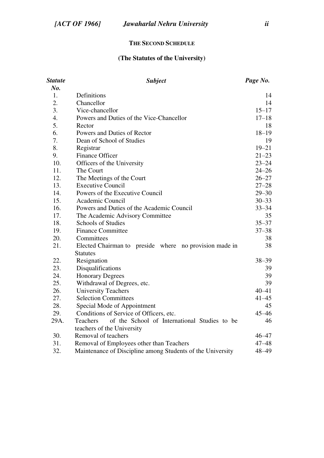#### **THE SECOND SCHEDULE**

## **(The Statutes of the University)**

| <b>Statute</b> | <b>Subject</b><br>Page No.                                 |           |  |  |  |  |  |  |  |
|----------------|------------------------------------------------------------|-----------|--|--|--|--|--|--|--|
| No.            |                                                            |           |  |  |  |  |  |  |  |
| 1.             | Definitions                                                | 14        |  |  |  |  |  |  |  |
| 2.             | Chancellor                                                 |           |  |  |  |  |  |  |  |
| 3.             | Vice-chancellor                                            |           |  |  |  |  |  |  |  |
| 4.             | Powers and Duties of the Vice-Chancellor                   | $17 - 18$ |  |  |  |  |  |  |  |
| 5.             | Rector                                                     | 18        |  |  |  |  |  |  |  |
| 6.             | Powers and Duties of Rector                                | $18 - 19$ |  |  |  |  |  |  |  |
| 7.             | Dean of School of Studies                                  | 19        |  |  |  |  |  |  |  |
| 8.             | Registrar                                                  | $19 - 21$ |  |  |  |  |  |  |  |
| 9.             | Finance Officer                                            | $21 - 23$ |  |  |  |  |  |  |  |
| 10.            | Officers of the University                                 | $23 - 24$ |  |  |  |  |  |  |  |
| 11.            | The Court                                                  | $24 - 26$ |  |  |  |  |  |  |  |
| 12.            | The Meetings of the Court                                  | $26 - 27$ |  |  |  |  |  |  |  |
| 13.            | <b>Executive Council</b>                                   | $27 - 28$ |  |  |  |  |  |  |  |
| 14.            | Powers of the Executive Council                            | $29 - 30$ |  |  |  |  |  |  |  |
| 15.            | Academic Council                                           | $30 - 33$ |  |  |  |  |  |  |  |
| 16.            | Powers and Duties of the Academic Council                  | $33 - 34$ |  |  |  |  |  |  |  |
| 17.            | The Academic Advisory Committee                            | 35        |  |  |  |  |  |  |  |
| 18.            | Schools of Studies                                         | $35 - 37$ |  |  |  |  |  |  |  |
| 19.            | <b>Finance Committee</b>                                   | $37 - 38$ |  |  |  |  |  |  |  |
| 20.            | Committees                                                 | 38        |  |  |  |  |  |  |  |
| 21.            | Elected Chairman to preside where no provision made in     |           |  |  |  |  |  |  |  |
|                | <b>Statutes</b>                                            |           |  |  |  |  |  |  |  |
| 22.            | Resignation                                                | $38 - 39$ |  |  |  |  |  |  |  |
| 23.            | Disqualifications                                          | 39        |  |  |  |  |  |  |  |
| 24.            | <b>Honorary Degrees</b>                                    | 39        |  |  |  |  |  |  |  |
| 25.            | Withdrawal of Degrees, etc.                                | 39        |  |  |  |  |  |  |  |
| 26.            | <b>University Teachers</b>                                 | $40 - 41$ |  |  |  |  |  |  |  |
| 27.            | <b>Selection Committees</b>                                | $41 - 45$ |  |  |  |  |  |  |  |
| 28.            | Special Mode of Appointment                                | 45        |  |  |  |  |  |  |  |
| 29.            | Conditions of Service of Officers, etc.                    | $45 - 46$ |  |  |  |  |  |  |  |
| 29A.           | of the School of International Studies to be<br>Teachers   | 46        |  |  |  |  |  |  |  |
|                | teachers of the University                                 |           |  |  |  |  |  |  |  |
| 30.            | Removal of teachers                                        | $46 - 47$ |  |  |  |  |  |  |  |
| 31.            | Removal of Employees other than Teachers                   | $47 - 48$ |  |  |  |  |  |  |  |
| 32.            | Maintenance of Discipline among Students of the University | 48-49     |  |  |  |  |  |  |  |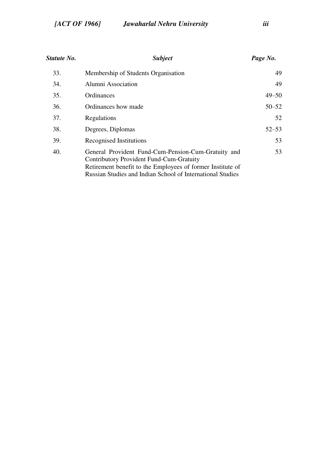| Statute No. | <i>Subject</i>                                                                                                                                                                                                                     | Page No.  |
|-------------|------------------------------------------------------------------------------------------------------------------------------------------------------------------------------------------------------------------------------------|-----------|
| 33.         | Membership of Students Organisation                                                                                                                                                                                                | 49        |
| 34.         | Alumni Association                                                                                                                                                                                                                 | 49        |
| 35.         | Ordinances                                                                                                                                                                                                                         | $49 - 50$ |
| 36.         | Ordinances how made                                                                                                                                                                                                                | $50 - 52$ |
| 37.         | Regulations                                                                                                                                                                                                                        | 52        |
| 38.         | Degrees, Diplomas                                                                                                                                                                                                                  | $52 - 53$ |
| 39.         | Recognised Institutions                                                                                                                                                                                                            | 53        |
| 40.         | General Provident Fund-Cum-Pension-Cum-Gratuity and<br>Contributory Provident Fund-Cum-Gratuity<br>Retirement benefit to the Employees of former Institute of<br><b>Russian Studies and Indian School of International Studies</b> | 53        |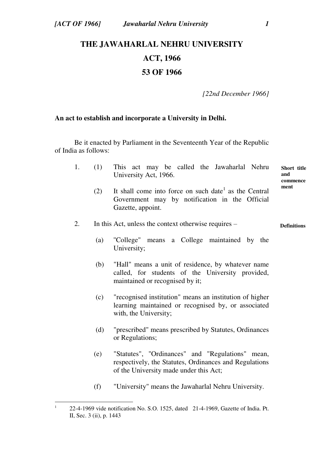# **THE JAWAHARLAL NEHRU UNIVERSITY ACT, 1966 53 OF 1966**

 *[22nd December 1966]* 

### **An act to establish and incorporate a University in Delhi.**

 Be it enacted by Parliament in the Seventeenth Year of the Republic of India as follows:

|  |  |                       |  | (1) This act may be called the Jawaharlal Nehru Short title |          |
|--|--|-----------------------|--|-------------------------------------------------------------|----------|
|  |  | University Act, 1966. |  |                                                             | and      |
|  |  |                       |  |                                                             | commence |

(2) It shall come into force on such date<sup>1</sup> as the Central Government may by notification in the Official Gazette, appoint.

#### 2. In this Act, unless the context otherwise requires – **Definitions**

- (a) ''College" means a College maintained by the University;
- (b) "Hall" means a unit of residence, by whatever name called, for students of the University provided, maintained or recognised by it;
- (c) "recognised institution" means an institution of higher learning maintained or recognised by, or associated with, the University;
- (d) "prescribed" means prescribed by Statutes, Ordinances or Regulations;
- (e) "Statutes", ''Ordinances" and "Regulations" mean, respectively, the Statutes, Ordinances and Regulations of the University made under this Act;
- (f) "University" means the Jawaharlal Nehru University.

**ment** 

 $\frac{1}{1}$  22-4-1969 vide notification No. S.O. 1525, dated 21-4-1969, Gazette of India. Pt. II, Sec. 3 (ii), p. 1443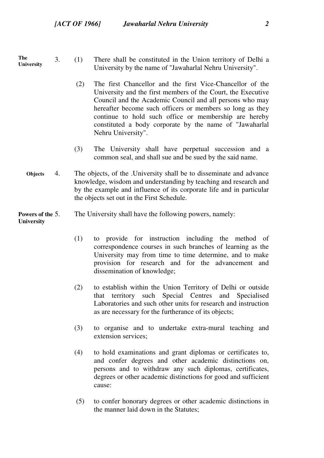**The University** 

- 3. (1) There shall be constituted in the Union territory of Delhi a University by the name of ''Jawaharlal Nehru University".
	- (2) The first Chancellor and the first Vice-Chancellor of the University and the first members of the Court, the Executive Council and the Academic Council and all persons who may hereafter become such officers or members so long as they continue to hold such office or membership are hereby constituted a body corporate by the name of "Jawaharlal Nehru University".
	- (3) The University shall have perpetual succession and a common seal, and shall sue and be sued by the said name.
- **Objects**  4. The objects, of the .University shall be to disseminate and advance knowledge, wisdom and understanding by teaching and research and by the example and influence of its corporate life and in particular the objects set out in the First Schedule.

#### **Powers of the University**  The University shall have the following powers, namely:

- (1) to provide for instruction including the method of correspondence courses in such branches of learning as the University may from time to time determine, and to make provision for research and for the advancement and dissemination of knowledge;
- (2) to establish within the Union Territory of Delhi or outside that territory such Special Centres and Specialised Laboratories and such other units for research and instruction as are necessary for the furtherance of its objects;
- (3) to organise and to undertake extra-mural teaching and extension services;
- (4) to hold examinations and grant diplomas or certificates to, and confer degrees and other academic distinctions on, persons and to withdraw any such diplomas, certificates, degrees or other academic distinctions for good and sufficient cause:
- (5) to confer honorary degrees or other academic distinctions in the manner laid down in the Statutes;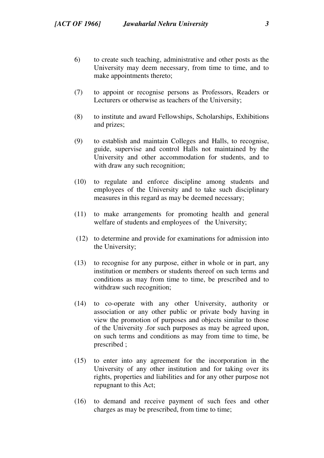- 6) to create such teaching, administrative and other posts as the University may deem necessary, from time to time, and to make appointments thereto;
- (7) to appoint or recognise persons as Professors, Readers or Lecturers or otherwise as teachers of the University;
- (8) to institute and award Fellowships, Scholarships, Exhibitions and prizes;
- (9) to establish and maintain Colleges and Halls, to recognise, guide, supervise and control Halls not maintained by the University and other accommodation for students, and to with draw any such recognition;
- (10) to regulate and enforce discipline among students and employees of the University and to take such disciplinary measures in this regard as may be deemed necessary;
- (11) to make arrangements for promoting health and general welfare of students and employees of the University;
- (12) to determine and provide for examinations for admission into the University;
- (13) to recognise for any purpose, either in whole or in part, any institution or members or students thereof on such terms and conditions as may from time to time, be prescribed and to withdraw such recognition;
- (14) to co-operate with any other University, authority or association or any other public or private body having in view the promotion of purposes and objects similar to those of the University .for such purposes as may be agreed upon, on such terms and conditions as may from time to time, be prescribed ;
- (15) to enter into any agreement for the incorporation in the University of any other institution and for taking over its rights, properties and liabilities and for any other purpose not repugnant to this Act;
- (16) to demand and receive payment of such fees and other charges as may be prescribed, from time to time;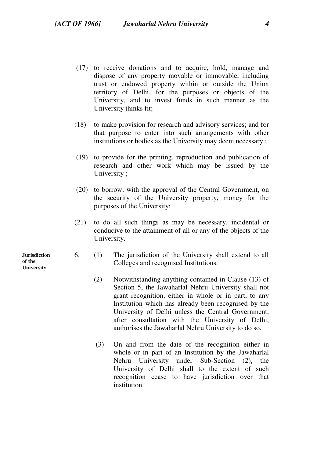- (17) to receive donations and to acquire, hold, manage and dispose of any property movable or immovable, including trust or endowed property within or outside the Union territory of Delhi, for the purposes or objects of the University, and to invest funds in such manner as the University thinks fit;
- (18) to make provision for research and advisory services; and for that purpose to enter into such arrangements with other institutions or bodies as the University may deem necessary ;
- (19) to provide for the printing, reproduction and publication of research and other work which may be issued by the University ;
- (20) to borrow, with the approval of the Central Government, on the security of the University property, money for the purposes of the University;
- (21) to do all such things as may be necessary, incidental or conducive to the attainment of all or any of the objects of the University.
- 6. (1) The jurisdiction of the University shall extend to all Colleges and recognised Institutions.
	- (2) Notwithstanding anything contained in Clause (13) of Section 5, the Jawaharlal Nehru University shall not grant recognition, either in whole or in part, to any Institution which has already been recognised by the University of Delhi unless the Central Government, after consultation with the University of Delhi, authorises the Jawaharlal Nehru University to do so.
	- (3) On and from the date of the recognition either in whole or in part of an Institution by the Jawaharlal Nehru University under Sub-Section (2), the University of Delhi shall to the extent of such recognition cease to have jurisdiction over that institution.

**Jurisdiction of the University**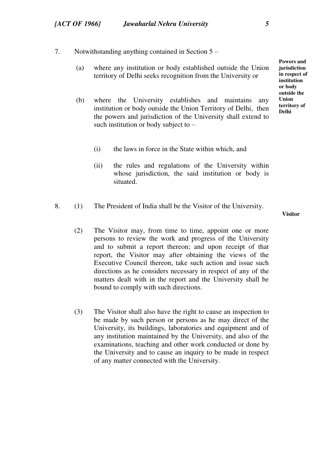- 7. Notwithstanding anything contained in Section 5
	- (a) where any institution or body established outside the Union territory of Delhi seeks recognition from the University or
	- (b) where the University establishes and maintains any institution or body outside the Union Territory of Delhi, then the powers and jurisdiction of the University shall extend to such institution or body subject to –
		- (i) the laws in force in the State within which, and
		- (ii) the rules and regulations of the University within whose jurisdiction, the said institution or body is situated.
- 8. (1) The President of India shall be the Visitor of the University.

**Visitor** 

- (2) The Visitor may, from time to time, appoint one or more persons to review the work and progress of the University and to submit a report thereon; and upon receipt of that report, the Visitor may after obtaining the views of the Executive Council thereon, take such action and issue such directions as he considers necessary in respect of any of the matters dealt with in the report and the University shall be bound to comply with such directions.
- (3) The Visitor shall also have the right to cause an inspection to be made by such person or persons as he may direct of the University, its buildings, laboratories and equipment and of any institution maintained by the University, and also of the examinations, teaching and other work conducted or done by the University and to cause an inquiry to be made in respect of any matter connected with the University.

**Powers and jurisdiction in respect of institution or body outside the Union territory of Delhi**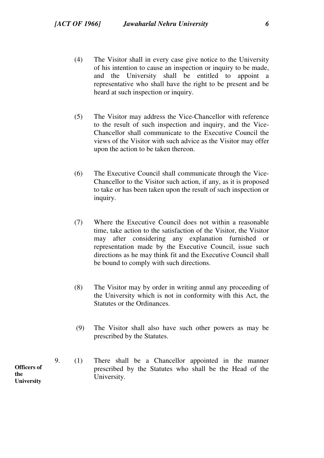- (4) The Visitor shall in every case give notice to the University of his intention to cause an inspection or inquiry to be made, and the University shall be entitled to appoint a representative who shall have the right to be present and be heard at such inspection or inquiry.
- (5) The Visitor may address the Vice-Chancellor with reference to the result of such inspection and inquiry, and the Vice-Chancellor shall communicate to the Executive Council the views of the Visitor with such advice as the Visitor may offer upon the action to be taken thereon.
- (6) The Executive Council shall communicate through the Vice-Chancellor to the Visitor such action, if any, as it is proposed to take or has been taken upon the result of such inspection or inquiry.
- (7) Where the Executive Council does not within a reasonable time, take action to the satisfaction of the Visitor, the Visitor may after considering any explanation furnished or representation made by the Executive Council, issue such directions as he may think fit and the Executive Council shall be bound to comply with such directions.
- (8) The Visitor may by order in writing annul any proceeding of the University which is not in conformity with this Act, the Statutes or the Ordinances.
- (9) The Visitor shall also have such other powers as may be prescribed by the Statutes.
- 9. (1) There shall be a Chancellor appointed in the manner prescribed by the Statutes who shall be the Head of the University.

**Officers of the University**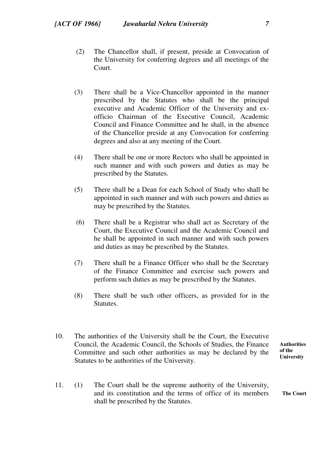- (2) The Chancellor shall, if present, preside at Convocation of the University for conferring degrees and all meetings of the Court.
- (3) There shall be a Vice-Chancellor appointed in the manner prescribed by the Statutes who shall be the principal executive and Academic Officer of the University and exofficio Chairman of the Executive Council, Academic Council and Finance Committee and he shall, in the absence of the Chancellor preside at any Convocation for conferring degrees and also at any meeting of the Court.
- (4) There shall be one or more Rectors who shall be appointed in such manner and with such powers and duties as may be prescribed by the Statutes.
- (5) There shall be a Dean for each School of Study who shall be appointed in such manner and with such powers and duties as may be prescribed by the Statutes.
- (6) There shall be a Registrar who shall act as Secretary of the Court, the Executive Council and the Academic Council and he shall be appointed in such manner and with such powers and duties as may be prescribed by the Statutes.
- (7) There shall be a Finance Officer who shall be the Secretary of the Finance Committee and exercise such powers and perform such duties as may be prescribed by the Statutes.
- (8) There shall be such other officers, as provided for in the Statutes.
- **Authorities of the University**  10. The authorities of the University shall be the Court, the Executive Council, the Academic Council, the Schools of Studies, the Finance Committee and such other authorities as may be declared by the Statutes to be authorities of the University.
- **The Court**  11. (1) The Court shall be the supreme authority of the University, and its constitution and the terms of office of its members shall be prescribed by the Statutes.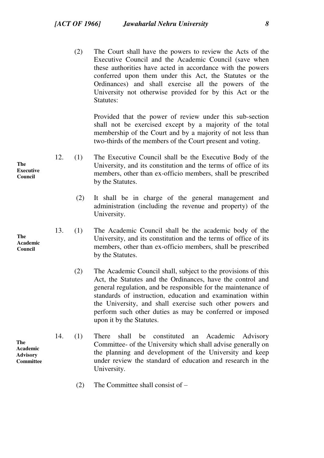(2) The Court shall have the powers to review the Acts of the Executive Council and the Academic Council (save when these authorities have acted in accordance with the powers conferred upon them under this Act, the Statutes or the Ordinances) and shall exercise all the powers of the University not otherwise provided for by this Act or the Statutes:

Provided that the power of review under this sub-section shall not be exercised except by a majority of the total membership of the Court and by a majority of not less than two-thirds of the members of the Court present and voting.

- 12. (1) The Executive Council shall be the Executive Body of the University, and its constitution and the terms of office of its members, other than ex-officio members, shall be prescribed by the Statutes.
	- (2) It shall be in charge of the general management and administration (including the revenue and property) of the University.
- 13. (1) The Academic Council shall be the academic body of the University, and its constitution and the terms of office of its members, other than ex-officio members, shall be prescribed by the Statutes.
	- (2) The Academic Council shall, subject to the provisions of this Act, the Statutes and the Ordinances, have the control and general regulation, and be responsible for the maintenance of standards of instruction, education and examination within the University, and shall exercise such other powers and perform such other duties as may be conferred or imposed upon it by the Statutes.
- 14. (1) There shall be constituted an Academic Advisory Committee- of the University which shall advise generally on the planning and development of the University and keep under review the standard of education and research in the University.
	- (2) The Committee shall consist of –

**The Executive Council** 

**The Academic Council** 

**The Academic Advisory Committee**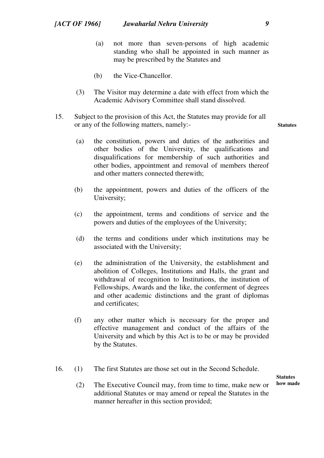- (a) not more than seven-persons of high academic standing who shall be appointed in such manner as may be prescribed by the Statutes and
- (b) the Vice-Chancellor.
- (3) The Visitor may determine a date with effect from which the Academic Advisory Committee shall stand dissolved.
- 15. Subject to the provision of this Act, the Statutes may provide for all or any of the following matters, namely:-
	- (a) the constitution, powers and duties of the authorities and other bodies of the University, the qualifications and disqualifications for membership of such authorities and other bodies, appointment and removal of members thereof and other matters connected therewith;
	- (b) the appointment, powers and duties of the officers of the University;
	- (c) the appointment, terms and conditions of service and the powers and duties of the employees of the University;
	- (d) the terms and conditions under which institutions may be associated with the University;
	- (e) the administration of the University, the establishment and abolition of Colleges, Institutions and Halls, the grant and withdrawal of recognition to Institutions, the institution of Fellowships, Awards and the like, the conferment of degrees and other academic distinctions and the grant of diplomas and certificates;
	- (f) any other matter which is necessary for the proper and effective management and conduct of the affairs of the University and which by this Act is to be or may be provided by the Statutes.
- 16. (1) The first Statutes are those set out in the Second Schedule.

**Statutes how made** 

(2) The Executive Council may, from time to time, make new or additional Statutes or may amend or repeal the Statutes in the manner hereafter in this section provided;

**Statutes**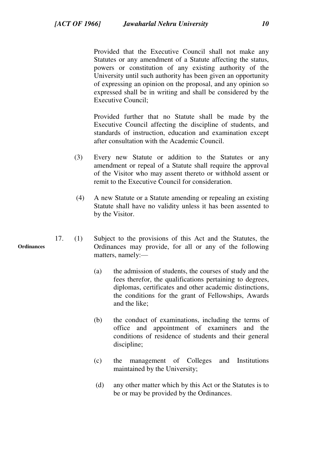Provided that the Executive Council shall not make any Statutes or any amendment of a Statute affecting the status, powers or constitution of any existing authority of the University until such authority has been given an opportunity of expressing an opinion on the proposal, and any opinion so expressed shall be in writing and shall be considered by the Executive Council;

Provided further that no Statute shall be made by the Executive Council affecting the discipline of students, and standards of instruction, education and examination except after consultation with the Academic Council.

- (3) Every new Statute or addition to the Statutes or any amendment or repeal of a Statute shall require the approval of the Visitor who may assent thereto or withhold assent or remit to the Executive Council for consideration.
- (4) A new Statute or a Statute amending or repealing an existing Statute shall have no validity unless it has been assented to by the Visitor.
- 17. (1) Subject to the provisions of this Act and the Statutes, the Ordinances may provide, for all or any of the following matters, namely:—
	- (a) the admission of students, the courses of study and the fees therefor, the qualifications pertaining to degrees, diplomas, certificates and other academic distinctions, the conditions for the grant of Fellowships, Awards and the like;
	- (b) the conduct of examinations, including the terms of office and appointment of examiners and the conditions of residence of students and their general discipline;
	- (c) the management of Colleges and Institutions maintained by the University;
	- (d) any other matter which by this Act or the Statutes is to be or may be provided by the Ordinances.

**Ordinances**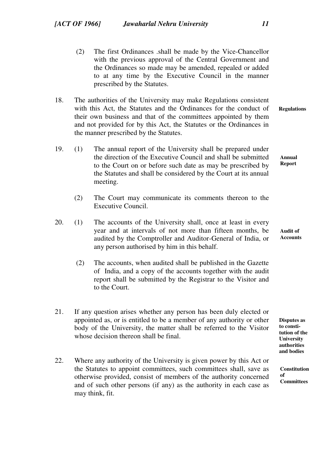- (2) The first Ordinances .shall be made by the Vice-Chancellor with the previous approval of the Central Government and the Ordinances so made may be amended, repealed or added to at any time by the Executive Council in the manner prescribed by the Statutes.
- **Regulations**  18. The authorities of the University may make Regulations consistent with this Act, the Statutes and the Ordinances for the conduct of their own business and that of the committees appointed by them and not provided for by this Act, the Statutes or the Ordinances in the manner prescribed by the Statutes.
- **Annual Report**  19. (1) The annual report of the University shall be prepared under the direction of the Executive Council and shall be submitted to the Court on or before such date as may be prescribed by the Statutes and shall be considered by the Court at its annual meeting.
	- (2) The Court may communicate its comments thereon to the Executive Council.
- **Audit of Accounts**  20. (1) The accounts of the University shall, once at least in every year and at intervals of not more than fifteen months, be audited by the Comptroller and Auditor-General of India, or any person authorised by him in this behalf.
	- (2) The accounts, when audited shall be published in the Gazette of India, and a copy of the accounts together with the audit report shall be submitted by the Registrar to the Visitor and to the Court.
- 21. If any question arises whether any person has been duly elected or appointed as, or is entitled to be a member of any authority or other body of the University, the matter shall be referred to the Visitor whose decision thereon shall be final.
- 22. Where any authority of the University is given power by this Act or the Statutes to appoint committees, such committees shall, save as otherwise provided, consist of members of the authority concerned and of such other persons (if any) as the authority in each case as may think, fit.

**Disputes as to constitution of the University authorities and bodies** 

**Constitution of Committees**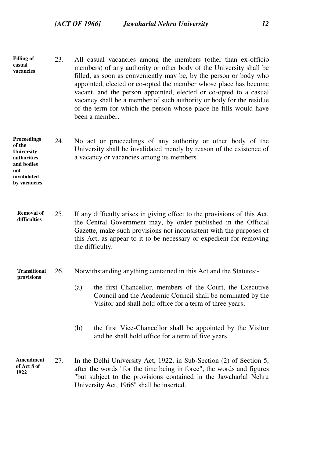- **Filling of casual vacancies**  23. All casual vacancies among the members (other than ex-officio members) of any authority or other body of the University shall be filled, as soon as conveniently may be, by the person or body who appointed, elected or co-opted the member whose place has become vacant, and the person appointed, elected or co-opted to a casual vacancy shall be a member of such authority or body for the residue of the term for which the person whose place he fills would have been a member.
- **Proceedings of the University authorities and bodies**  24. No act or proceedings of any authority or other body of the University shall be invalidated merely by reason of the existence of a vacancy or vacancies among its members.

**not** 

**invalidated by vacancies** 

> **Removal of difficulties**  25. If any difficulty arises in giving effect to the provisions of this Act, the Central Government may, by order published in the Official Gazette, make such provisions not inconsistent with the purposes of this Act, as appear to it to be necessary or expedient for removing the difficulty.

#### **Transitional provisions**  26. Notwithstanding anything contained in this Act and the Statutes:-

- (a) the first Chancellor, members of the Court, the Executive Council and the Academic Council shall be nominated by the
	- (b) the first Vice-Chancellor shall be appointed by the Visitor and he shall hold office for a term of five years.

Visitor and shall hold office for a term of three years;

**Amendment of Act 8 of 1922** 27. In the Delhi University Act, 1922, in Sub-Section (2) of Section 5, after the words "for the time being in force", the words and figures "but subject to the provisions contained in the Jawaharlal Nehru University Act, 1966" shall be inserted.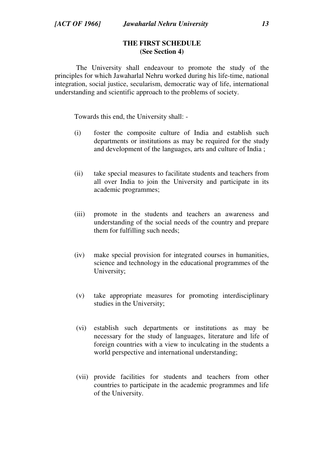## **THE FIRST SCHEDULE (See Section 4)**

 The University shall endeavour to promote the study of the principles for which Jawaharlal Nehru worked during his life-time, national integration, social justice, secularism, democratic way of life, international understanding and scientific approach to the problems of society.

Towards this end, the University shall: -

- (i) foster the composite culture of India and establish such departments or institutions as may be required for the study and development of the languages, arts and culture of India ;
- (ii) take special measures to facilitate students and teachers from all over India to join the University and participate in its academic programmes;
- (iii) promote in the students and teachers an awareness and understanding of the social needs of the country and prepare them for fulfilling such needs;
- (iv) make special provision for integrated courses in humanities, science and technology in the educational programmes of the University;
- (v) take appropriate measures for promoting interdisciplinary studies in the University;
- (vi) establish such departments or institutions as may be necessary for the study of languages, literature and life of foreign countries with a view to inculcating in the students a world perspective and international understanding;
- (vii) provide facilities for students and teachers from other countries to participate in the academic programmes and life of the University.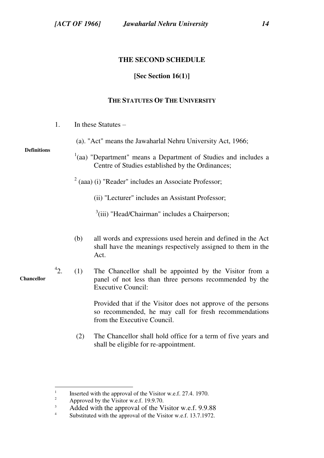## **THE SECOND SCHEDULE**

## **[Sec Section 16(1)]**

## **THE STATUTES OF THE UNIVERSITY**

- 1. In these Statutes
	- (a). "Act" means the Jawaharlal Nehru University Act, 1966;

#### **Definitions**

**Chancellor**

 $\overline{a}$ 

- $1$ (aa) "Department" means a Department of Studies and includes a Centre of Studies established by the Ordinances;
- $2$  (aaa) (i) "Reader" includes an Associate Professor;
	- (ii) "Lecturer" includes an Assistant Professor;
	- <sup>3</sup>(iii) "Head/Chairman" includes a Chairperson;
- (b) all words and expressions used herein and defined in the Act shall have the meanings respectively assigned to them in the Act.
- $42$ 2. (1) The Chancellor shall be appointed by the Visitor from a panel of not less than three persons recommended by the Executive Council:

Provided that if the Visitor does not approve of the persons so recommended, he may call for fresh recommendations from the Executive Council.

(2) The Chancellor shall hold office for a term of five years and shall be eligible for re-appointment.

<sup>1</sup> Inserted with the approval of the Visitor w.e.f. 27.4. 1970.

<sup>2</sup> Approved by the Visitor w.e.f. 19.9.70.

<sup>3</sup> Added with the approval of the Visitor w.e.f. 9.9.88

<sup>4</sup> Substituted with the approval of the Visitor w.e.f. 13.7.1972.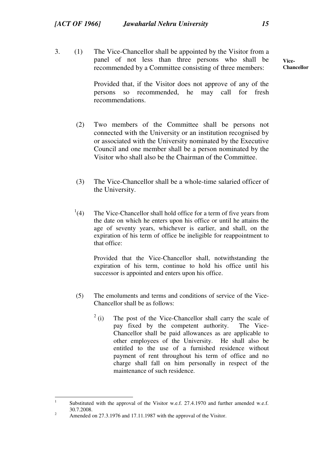3. (1) The Vice-Chancellor shall be appointed by the Visitor from a panel of not less than three persons who shall be recommended by a Committee consisting of three members:

> Provided that, if the Visitor does not approve of any of the persons so recommended, he may call for fresh recommendations.

- (2) Two members of the Committee shall be persons not connected with the University or an institution recognised by or associated with the University nominated by the Executive Council and one member shall be a person nominated by the Visitor who shall also be the Chairman of the Committee.
- (3) The Vice-Chancellor shall be a whole-time salaried officer of the University.
- $^{1}(4)$ The Vice-Chancellor shall hold office for a term of five years from the date on which he enters upon his office or until he attains the age of seventy years, whichever is earlier, and shall, on the expiration of his term of office be ineligible for reappointment to that office:

Provided that the Vice-Chancellor shall, notwithstanding the expiration of his term, continue to hold his office until his successor is appointed and enters upon his office.

- (5) The emoluments and terms and conditions of service of the Vice-Chancellor shall be as follows:
	- $2$  (i) The post of the Vice-Chancellor shall carry the scale of pay fixed by the competent authority. The Vice-Chancellor shall be paid allowances as are applicable to other employees of the University. He shall also be entitled to the use of a furnished residence without payment of rent throughout his term of office and no charge shall fall on him personally in respect of the maintenance of such residence.

<sup>|&</sup>lt;br>|<br>| Substituted with the approval of the Visitor w.e.f. 27.4.1970 and further amended w.e.f. 30.7.2008. 2

Amended on 27.3.1976 and 17.11.1987 with the approval of the Visitor.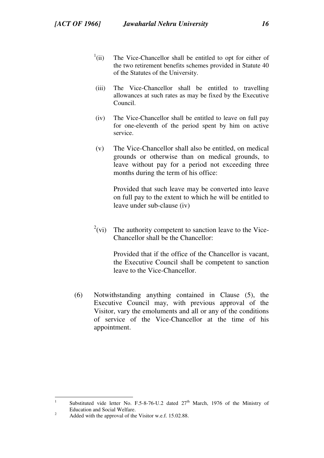- $\frac{1}{1}$ (ii) The Vice-Chancellor shall be entitled to opt for either of the two retirement benefits schemes provided in Statute 40 of the Statutes of the University.
- (iii) The Vice-Chancellor shall be entitled to travelling allowances at such rates as may be fixed by the Executive Council.
- (iv) The Vice-Chancellor shall be entitled to leave on full pay for one-eleventh of the period spent by him on active service.
- (v) The Vice-Chancellor shall also be entitled, on medical grounds or otherwise than on medical grounds, to leave without pay for a period not exceeding three months during the term of his office:

Provided that such leave may be converted into leave on full pay to the extent to which he will be entitled to leave under sub-clause (iv)

 $^{2}$ (vi) The authority competent to sanction leave to the Vice-Chancellor shall be the Chancellor:

> Provided that if the office of the Chancellor is vacant, the Executive Council shall be competent to sanction leave to the Vice-Chancellor.

(6) Notwithstanding anything contained in Clause (5), the Executive Council may, with previous approval of the Visitor, vary the emoluments and all or any of the conditions of service of the Vice-Chancellor at the time of his appointment.

<sup>|&</sup>lt;br>|<br>| Substituted vide letter No. F.5-8-76-U.2 dated 27<sup>th</sup> March, 1976 of the Ministry of Education and Social Welfare. 2

Added with the approval of the Visitor w.e.f. 15.02.88.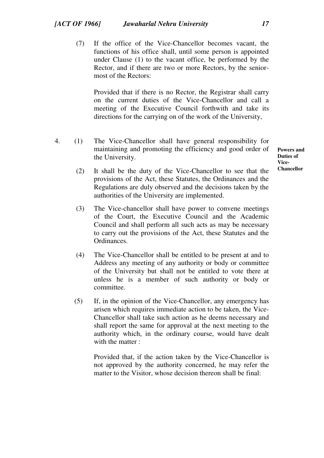(7) If the office of the Vice-Chancellor becomes vacant, the functions of his office shall, until some person is appointed under Clause (1) to the vacant office, be performed by the Rector, and if there are two or more Rectors, by the seniormost of the Rectors:

Provided that if there is no Rector, the Registrar shall carry on the current duties of the Vice-Chancellor and call a meeting of the Executive Council forthwith and take its directions for the carrying on of the work of the University,

4. (1) The Vice-Chancellor shall have general responsibility for maintaining and promoting the efficiency and good order of the University.

**Powers and Duties of Vice-Chancellor** 

- (2) It shall be the duty of the Vice-Chancellor to see that the provisions of the Act, these Statutes, the Ordinances and the Regulations are duly observed and the decisions taken by the authorities of the University are implemented.
- (3) The Vice-chancellor shall have power to convene meetings of the Court, the Executive Council and the Academic Council and shall perform all such acts as may be necessary to carry out the provisions of the Act, these Statutes and the Ordinances.
- (4) The Vice-Chancellor shall be entitled to be present at and to Address any meeting of any authority or body or committee of the University but shall not be entitled to vote there at unless he is a member of such authority or body or committee.
- (5) If, in the opinion of the Vice-Chancellor, any emergency has arisen which requires immediate action to be taken, the Vice-Chancellor shall take such action as he deems necessary and shall report the same for approval at the next meeting to the authority which, in the ordinary course, would have dealt with the matter :

Provided that, if the action taken by the Vice-Chancellor is not approved by the authority concerned, he may refer the matter to the Visitor, whose decision thereon shall be final: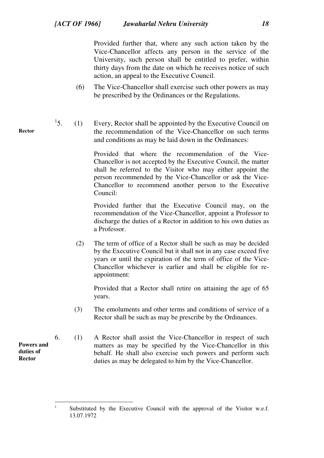Provided further that, where any such action taken by the Vice-Chancellor affects any person in the service of the University, such person shall be entitled to prefer, within thirty days from the date on which he receives notice of such action, an appeal to the Executive Council.

- (6) The Vice-Chancellor shall exercise such other powers as may be prescribed by the Ordinances or the Regulations.
- $^{1}5.$ 5. (1) Every, Rector shall be appointed by the Executive Council on the recommendation of the Vice-Chancellor on such terms and conditions as may be laid down in the Ordinances:

Provided that where the recommendation of the Vice-Chancellor is not accepted by the Executive Council, the matter shall be referred to the Visitor who may either appoint the person recommended by the Vice-Chancellor or ask the Vice-Chancellor to recommend another person to the Executive Council:

Provided further that the Executive Council may, on the recommendation of the Vice-Chancellor, appoint a Professor to discharge the duties of a Rector in addition to his own duties as a Professor.

 (2) The term of office of a Rector shall be such as may be decided by the Executive Council but it shall not in any case exceed five years or until the expiration of the term of office of the Vice-Chancellor whichever is earlier and shall be eligible for reappointment:

Provided that a Rector shall retire on attaining the age of 65 years.

- (3) The emoluments and other terms and conditions of service of a Rector shall be such as may be prescribe by the Ordinances.
- 6. (1) A Rector shall assist the Vice-Chancellor in respect of such matters as may be specified by the Vice-Chancellor in this behalf. He shall also exercise such powers and perform such duties as may be delegated to him by the Vice-Chancellor.

**Rector** 

**Powers and duties of Rector** 

 $\frac{1}{1}$  Substituted by the Executive Council with the approval of the Visitor w.e.f. 13.07.1972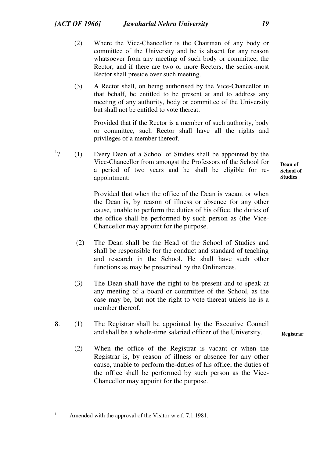- (2) Where the Vice-Chancellor is the Chairman of any body or committee of the University and he is absent for any reason whatsoever from any meeting of such body or committee, the Rector, and if there are two or more Rectors, the senior-most Rector shall preside over such meeting.
- (3) A Rector shall, on being authorised by the Vice-Chancellor in that behalf, be entitled to be present at and to address any meeting of any authority, body or committee of the University but shall not be entitled to vote thereat:

Provided that if the Rector is a member of such authority, body or committee, such Rector shall have all the rights and privileges of a member thereof.

 $^{17}$ . 7. (1) Every Dean of a School of Studies shall be appointed by the Vice-Chancellor from amongst the Professors of the School for a period of two years and he shall be eligible for reappointment:

> Provided that when the office of the Dean is vacant or when the Dean is, by reason of illness or absence for any other cause, unable to perform the duties of his office, the duties of the office shall be performed by such person as (the Vice-Chancellor may appoint for the purpose.

- (2) The Dean shall be the Head of the School of Studies and shall be responsible for the conduct and standard of teaching and research in the School. He shall have such other functions as may be prescribed by the Ordinances.
- (3) The Dean shall have the right to be present and to speak at any meeting of a board or committee of the School, as the case may be, but not the right to vote thereat unless he is a member thereof.
- 8. (1) The Registrar shall be appointed by the Executive Council and shall be a whole-time salaried officer of the University.
	- (2) When the office of the Registrar is vacant or when the Registrar is, by reason of illness or absence for any other cause, unable to perform the-duties of his office, the duties of the office shall be performed by such person as the Vice-Chancellor may appoint for the purpose.

 $\overline{a}$ 1 **Dean of School of Studies** 

Amended with the approval of the Visitor w.e.f. 7.1.1981.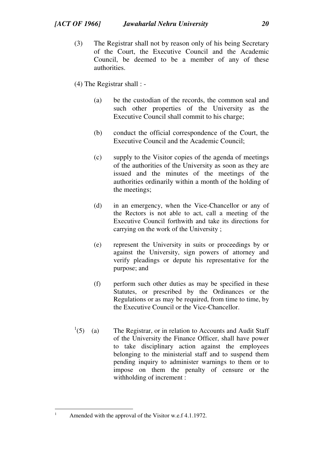(3) The Registrar shall not by reason only of his being Secretary of the Court, the Executive Council and the Academic Council, be deemed to be a member of any of these authorities.

(4) The Registrar shall : -

- (a) be the custodian of the records, the common seal and such other properties of the University as the Executive Council shall commit to his charge;
- (b) conduct the official correspondence of the Court, the Executive Council and the Academic Council;
- (c) supply to the Visitor copies of the agenda of meetings of the authorities of the University as soon as they are issued and the minutes of the meetings of the authorities ordinarily within a month of the holding of the meetings;
- (d) in an emergency, when the Vice-Chancellor or any of the Rectors is not able to act, call a meeting of the Executive Council forthwith and take its directions for carrying on the work of the University ;
- (e) represent the University in suits or proceedings by or against the University, sign powers of attorney and verify pleadings or depute his representative for the purpose; and
- (f) perform such other duties as may be specified in these Statutes, or prescribed by the Ordinances or the Regulations or as may be required, from time to time, by the Executive Council or the Vice-Chancellor.
- $1(5)$  (a) The Registrar, or in relation to Accounts and Audit Staff of the University the Finance Officer, shall have power to take disciplinary action against the employees belonging to the ministerial staff and to suspend them pending inquiry to administer warnings to them or to impose on them the penalty of censure or the withholding of increment :

Amended with the approval of the Visitor w.e.f 4.1.1972.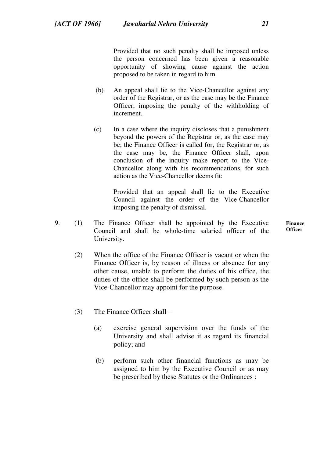Provided that no such penalty shall be imposed unless the person concerned has been given a reasonable opportunity of showing cause against the action proposed to be taken in regard to him.

- (b) An appeal shall lie to the Vice-Chancellor against any order of the Registrar, or as the case may be the Finance Officer, imposing the penalty of the withholding of increment.
- (c) In a case where the inquiry discloses that a punishment beyond the powers of the Registrar or, as the case may be; the Finance Officer is called for, the Registrar or, as the case may be, the Finance Officer shall, upon conclusion of the inquiry make report to the Vice-Chancellor along with his recommendations, for such action as the Vice-Chancellor deems fit:

Provided that an appeal shall lie to the Executive Council against the order of the Vice-Chancellor imposing the penalty of dismissal.

- 9. (1) The Finance Officer shall be appointed by the Executive Council and shall be whole-time salaried officer of the University.
- **Finance Officer**
- (2) When the office of the Finance Officer is vacant or when the Finance Officer is, by reason of illness or absence for any other cause, unable to perform the duties of his office, the duties of the office shall be performed by such person as the Vice-Chancellor may appoint for the purpose.
- (3) The Finance Officer shall
	- (a) exercise general supervision over the funds of the University and shall advise it as regard its financial policy; and
	- (b) perform such other financial functions as may be assigned to him by the Executive Council or as may be prescribed by these Statutes or the Ordinances :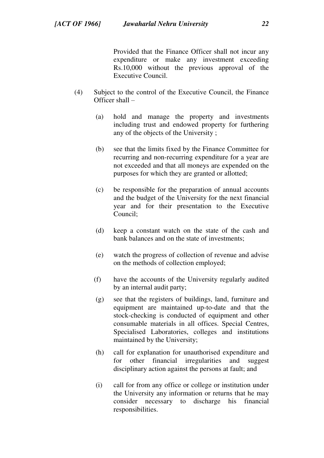Provided that the Finance Officer shall not incur any expenditure or make any investment exceeding Rs.10,000 without the previous approval of the Executive Council.

- (4) Subject to the control of the Executive Council, the Finance Officer shall –
	- (a) hold and manage the property and investments including trust and endowed property for furthering any of the objects of the University ;
	- (b) see that the limits fixed by the Finance Committee for recurring and non-recurring expenditure for a year are not exceeded and that all moneys are expended on the purposes for which they are granted or allotted;
	- (c) be responsible for the preparation of annual accounts and the budget of the University for the next financial year and for their presentation to the Executive Council;
	- (d) keep a constant watch on the state of the cash and bank balances and on the state of investments;
	- (e) watch the progress of collection of revenue and advise on the methods of collection employed;
	- (f) have the accounts of the University regularly audited by an internal audit party;
	- (g) see that the registers of buildings, land, furniture and equipment are maintained up-to-date and that the stock-checking is conducted of equipment and other consumable materials in all offices. Special Centres, Specialised Laboratories, colleges and institutions maintained by the University;
	- (h) call for explanation for unauthorised expenditure and for other financial irregularities and suggest disciplinary action against the persons at fault; and
	- (i) call for from any office or college or institution under the University any information or returns that he may consider necessary to discharge his financial responsibilities.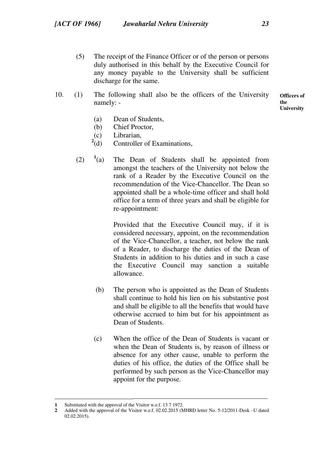- (5) The receipt of the Finance Officer or of the person or persons duly authorised in this behalf by the Executive Council for any money payable to the University shall be sufficient discharge for the same.
- **Officers of the**  10. (1) The following shall also be the officers of the University namely: -

**University** 

- (a) Dean of Students,
- (b) Chief Proctor,
- (c) Librarian,
- $^{2}(d)$ Controller of Examinations,
- $(2)$   $1$ <sup>(a)</sup> The Dean of Students shall be appointed from amongst the teachers of the University not below the rank of a Reader by the Executive Council on the recommendation of the Vice-Chancellor. The Dean so appointed shall be a whole-time officer and shall hold office for a term of three years and shall be eligible for re-appointment:

 Provided that the Executive Council may, if it is considered necessary, appoint, on the recommendation of the Vice-Chancellor, a teacher, not below the rank of a Reader, to discharge the duties of the Dean of Students in addition to his duties and in such a case the Executive Council may sanction a suitable allowance.

- (b) The person who is appointed as the Dean of Students shall continue to hold his lien on his substantive post and shall be eligible to all the benefits that would have otherwise accrued to him but for his appointment as Dean of Students.
- (c) When the office of the Dean of Students is vacant or when the Dean of Students is, by reason of illness or absence for any other cause, unable to perform the duties of his office, the duties of the Office shall be performed by such person as the Vice-Chancellor may appoint for the purpose.

**<sup>1</sup>** Substituted with the approval of the Visitor w.e.f. 13 7 1972.

**<sup>2</sup>** Added with the approval of the Visitor w.e.f. 02.02.2015 (MHRD letter No. 5-12/2011-Desk –U dated 02.02.2015).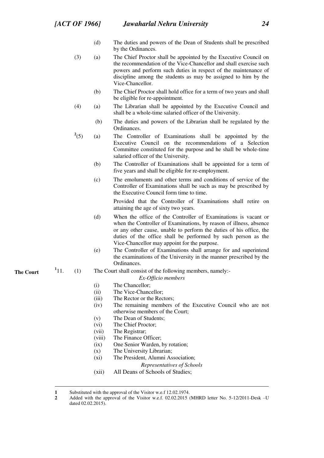- (d) The duties and powers of the Dean of Students shall be prescribed by the Ordinances.
- (3) (a) The Chief Proctor shall be appointed by the Executive Council on the recommendation of the Vice-Chancellor and shall exercise such powers and perform such duties in respect of the maintenance of discipline among the students as may be assigned to him by the Vice-Chancellor.
	- (b) The Chief Proctor shall hold office for a term of two years and shall be eligible for re-appointment.
- (4) (a) The Librarian shall be appointed by the Executive Council and shall be a whole-time salaried officer of the University.
	- (b) The duties and powers of the Librarian shall be regulated by the Ordinances.
- $^{2}(5)$ (5) (a) The Controller of Examinations shall be appointed by the Executive Council on the recommendations of a Selection Committee constituted for the purpose and he shall be whole-time salaried officer of the University.
	- (b) The Controller of Examinations shall be appointed for a term of five years and shall be eligible for re-employment.
	- (c) The emoluments and other terms and conditions of service of the Controller of Examinations shall be such as may be prescribed by the Executive Council form time to time.

Provided that the Controller of Examinations shall retire on attaining the age of sixty two years.

- (d) When the office of the Controller of Examinations is vacant or when the Controller of Examinations, by reason of illness, absence or any other cause, unable to perform the duties of his office, the duties of the office shall be performed by such person as the Vice-Chancellor may appoint for the purpose.
- (e) The Controller of Examinations shall arrange for and superintend the examinations of the University in the manner prescribed by the Ordinances.
- $(1)$  The Court shall consist of the following members, namely:-

#### *Ex-Officio members*

- (i) The Chancellor;
- (ii) The Vice-Chancellor;
- (iii) The Rector or the Rectors;
- (iv) The remaining members of the Executive Council who are not otherwise members of the Court;
- (v) The Dean of Students;
- (vi) The Chief Proctor;
- (vii) The Registrar;
- (viii) The Finance Officer;
- (ix) One Senior Warden, by rotation;
- (x) The University Librarian;
- (xi) The President, Alumni Association;
	- *Representatives of Schools*
- (xii) All Deans of Schools of Studies;

 $^{1}11.$ 

**<sup>1</sup>** Substituted with the approval of the Visitor w.e.f 12.02.1974.

**<sup>2</sup>** Added with the approval of the Visitor w.e.f. 02.02.2015 (MHRD letter No. 5-12/2011-Desk –U dated 02.02.2015).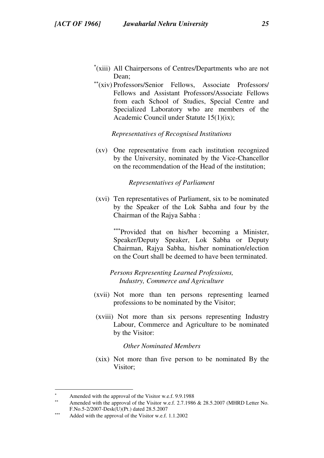- (xiii) All Chairpersons of Centres/Departments who are not Dean;
- (xiv) Professors/Senior Fellows, Associate Professors/ Fellows and Assistant Professors/Associate Fellows from each School of Studies, Special Centre and Specialized Laboratory who are members of the Academic Council under Statute 15(1)(ix);

### *Representatives of Recognised Institutions*

(xv) One representative from each institution recognized by the University, nominated by the Vice-Chancellor on the recommendation of the Head of the institution;

### *Representatives of Parliament*

(xvi) Ten representatives of Parliament, six to be nominated by the Speaker of the Lok Sabha and four by the Chairman of the Rajya Sabha :

> \*\*\*Provided that on his/her becoming a Minister, Speaker/Deputy Speaker, Lok Sabha or Deputy Chairman, Rajya Sabha, his/her nomination/election on the Court shall be deemed to have been terminated.

*Persons Representing Learned Professions, Industry, Commerce and Agriculture*

- (xvii) Not more than ten persons representing learned professions to be nominated by the Visitor;
- (xviii) Not more than six persons representing Industry Labour, Commerce and Agriculture to be nominated by the Visitor:

#### *Other Nominated Members*

 (xix) Not more than five person to be nominated By the Visitor;

<sup>×</sup> Amended with the approval of the Visitor w.e.f. 9.9.1988

Amended with the approval of the Visitor w.e.f. 2.7.1986 & 28.5.2007 (MHRD Letter No. F.No.5-2/2007-Desk(U)(Pt.) dated 28.5.2007

Added with the approval of the Visitor w.e.f. 1.1.2002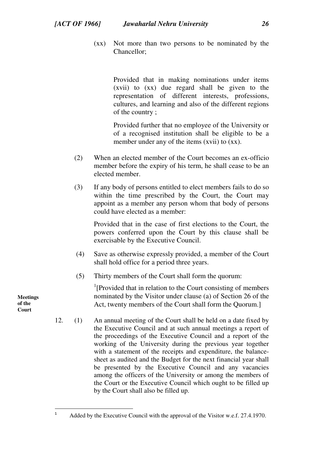(xx) Not more than two persons to be nominated by the Chancellor;

> Provided that in making nominations under items (xvii) to (xx) due regard shall be given to the representation of different interests, professions, cultures, and learning and also of the different regions of the country ;

> Provided further that no employee of the University or of a recognised institution shall be eligible to be a member under any of the items (xvii) to (xx).

- (2) When an elected member of the Court becomes an ex-officio member before the expiry of his term, he shall cease to be an elected member.
- (3) If any body of persons entitled to elect members fails to do so within the time prescribed by the Court, the Court may appoint as a member any person whom that body of persons could have elected as a member:

Provided that in the case of first elections to the Court, the powers conferred upon the Court by this clause shall be exercisable by the Executive Council.

- (4) Save as otherwise expressly provided, a member of the Court shall hold office for a period three years.
- (5) Thirty members of the Court shall form the quorum:

<sup>1</sup>[Provided that in relation to the Court consisting of members nominated by the Visitor under clause (a) of Section 26 of the Act, twenty members of the Court shall form the Quorum.]

12. (1) An annual meeting of the Court shall be held on a date fixed by the Executive Council and at such annual meetings a report of the proceedings of the Executive Council and a report of the working of the University during the previous year together with a statement of the receipts and expenditure, the balancesheet as audited and the Budget for the next financial year shall be presented by the Executive Council and any vacancies among the officers of the University or among the members of the Court or the Executive Council which ought to be filled up by the Court shall also be filled up.

**Meetings of the Court** 

 $\frac{1}{1}$ 

Added by the Executive Council with the approval of the Visitor w.e.f. 27.4.1970.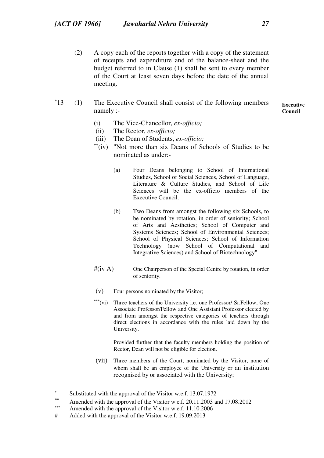(2) A copy each of the reports together with a copy of the statement of receipts and expenditure and of the balance-sheet and the budget referred to in Clause (1) shall be sent to every member of the Court at least seven days before the date of the annual meeting.

#### $*13$ 13 (1) The Executive Council shall consist of the following members namely :-

**Executive Council** 

- (i) The Vice-Chancellor, *ex-officio;*
- (ii) The Rector, *ex-officio;*
- (iii) The Dean of Students, *ex-officio;*
- $i$ <sup>\*\*</sup>(iv) "Not more than six Deans of Schools of Studies to be nominated as under:-
	- (a) Four Deans belonging to School of International Studies, School of Social Sciences, School of Language, Literature & Culture Studies, and School of Life Sciences will be the ex-officio members of the Executive Council.
	- (b) Two Deans from amongst the following six Schools, to be nominated by rotation, in order of seniority; School of Arts and Aesthetics; School of Computer and Systems Sciences; School of Environmental Sciences; School of Physical Sciences; School of Information Technology (now School of Computational and Integrative Sciences) and School of Biotechnology".
- #(iv A) One Chairperson of the Special Centre by rotation, in order of seniority.
- (v) Four persons nominated by the Visitor;
- \*\*\*(vi) Three teachers of the University i.e. one Professor/ Sr.Fellow, One Associate Professor/Fellow and One Assistant Professor elected by and from amongst the respective categories of teachers through direct elections in accordance with the rules laid down by the University.

Provided further that the faculty members holding the position of Rector, Dean will not be eligible for election.

 (vii) Three members of the Court, nominated by the Visitor, none of whom shall be an employee of the University or an institution recognised by or associated with the University;

<sup>×</sup> Substituted with the approval of the Visitor w.e.f. 13.07.1972

 $**$ Amended with the approval of the Visitor w.e.f. 20.11.2003 and 17.08.2012

 $***$ Amended with the approval of the Visitor w.e.f. 11.10.2006

<sup>#</sup> Added with the approval of the Visitor w.e.f. 19.09.2013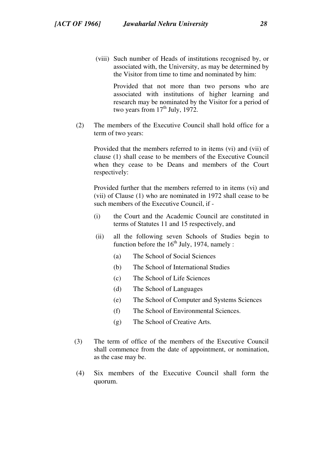(viii) Such number of Heads of institutions recognised by, or associated with, the University, as may be determined by the Visitor from time to time and nominated by him:

Provided that not more than two persons who are associated with institutions of higher learning and research may be nominated by the Visitor for a period of two years from  $17<sup>th</sup>$  July, 1972.

 (2) The members of the Executive Council shall hold office for a term of two years:

Provided that the members referred to in items (vi) and (vii) of clause (1) shall cease to be members of the Executive Council when they cease to be Deans and members of the Court respectively:

Provided further that the members referred to in items (vi) and (vii) of Clause (1) who are nominated in 1972 shall cease to be such members of the Executive Council, if -

- (i) the Court and the Academic Council are constituted in terms of Statutes 11 and 15 respectively, and
- (ii) all the following seven Schools of Studies begin to function before the  $16<sup>th</sup>$  July, 1974, namely :
	- (a) The School of Social Sciences
	- (b) The School of International Studies
	- (c) The School of Life Sciences
	- (d) The School of Languages
	- (e) The School of Computer and Systems Sciences
	- (f) The School of Environmental Sciences.
	- (g) The School of Creative Arts.
- (3) The term of office of the members of the Executive Council shall commence from the date of appointment, or nomination, as the case may be.
- (4) Six members of the Executive Council shall form the quorum.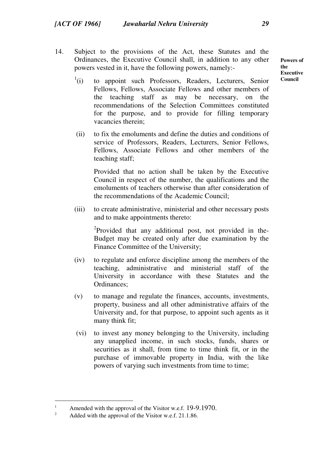14. Subject to the provisions of the Act, these Statutes and the Ordinances, the Executive Council shall, in addition to any other powers vested in it, have the following powers, namely:-

 $\binom{1}{1}$ (i) to appoint such Professors, Readers, Lecturers, Senior Fellows, Fellows, Associate Fellows and other members of the teaching staff as may be necessary, on the recommendations of the Selection Committees constituted for the purpose, and to provide for filling temporary vacancies therein;

(ii) to fix the emoluments and define the duties and conditions of service of Professors, Readers, Lecturers, Senior Fellows, Fellows, Associate Fellows and other members of the teaching staff;

Provided that no action shall be taken by the Executive Council in respect of the number, the qualifications and the emoluments of teachers otherwise than after consideration of the recommendations of the Academic Council;

(iii) to create administrative, ministerial and other necessary posts and to make appointments thereto:

<sup>2</sup>Provided that any additional post, not provided in the-Budget may be created only after due examination by the Finance Committee of the University;

- (iv) to regulate and enforce discipline among the members of the teaching, administrative and ministerial staff of the University in accordance with these Statutes and the Ordinances;
- (v) to manage and regulate the finances, accounts, investments, property, business and all other administrative affairs of the University and, for that purpose, to appoint such agents as it many think fit;
- (vi) to invest any money belonging to the University, including any unapplied income, in such stocks, funds, shares or securities as it shall, from time to time think fit, or in the purchase of immovable property in India, with the like powers of varying such investments from time to time;

 $\overline{a}$ 

**Powers of the Executive Council** 

<sup>1</sup> Amended with the approval of the Visitor w.e.f. 19-9.1970. 2

Added with the approval of the Visitor w.e.f. 21.1.86.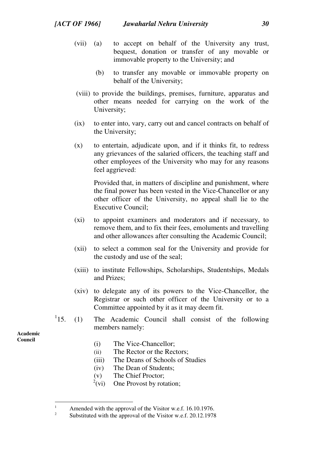- (vii) (a) to accept on behalf of the University any trust, bequest, donation or transfer of any movable or immovable property to the University; and
	- (b) to transfer any movable or immovable property on behalf of the University;
- (viii) to provide the buildings, premises, furniture, apparatus and other means needed for carrying on the work of the University;
- (ix) to enter into, vary, carry out and cancel contracts on behalf of the University;
- (x) to entertain, adjudicate upon, and if it thinks fit, to redress any grievances of the salaried officers, the teaching staff and other employees of the University who may for any reasons feel aggrieved:

Provided that, in matters of discipline and punishment, where the final power has been vested in the Vice-Chancellor or any other officer of the University, no appeal shall lie to the Executive Council;

- (xi) to appoint examiners and moderators and if necessary, to remove them, and to fix their fees, emoluments and travelling and other allowances after consulting the Academic Council;
- (xii) to select a common seal for the University and provide for the custody and use of the seal;
- (xiii) to institute Fellowships, Scholarships, Studentships, Medals and Prizes;
- (xiv) to delegate any of its powers to the Vice-Chancellor, the Registrar or such other officer of the University or to a Committee appointed by it as it may deem fit.
- $^{1}15$ 15. (1) The Academic Council shall consist of the following members namely:

**Academic Council** 

- (i) The Vice-Chancellor;
- (ii) The Rector or the Rectors;
- (iii) The Deans of Schools of Studies
- (iv) The Dean of Students;
- (v) The Chief Proctor;
- $^{2}$ (vi) One Provost by rotation;

 $\frac{1}{1}$  Amended with the approval of the Visitor w.e.f. 16.10.1976. 2

Substituted with the approval of the Visitor w.e.f. 20.12.1978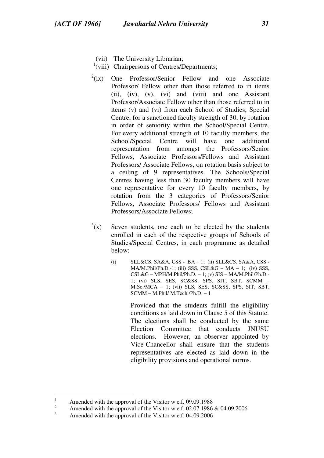- (vii) The University Librarian;
- <sup>1</sup>(viii) Chairpersons of Centres/Departments;
- $2(ix)$  One Professor/Senior Fellow and one Associate Professor/ Fellow other than those referred to in items (ii), (iv), (v), (vi) and (viii) and one Assistant Professor/Associate Fellow other than those referred to in items (v) and (vi) from each School of Studies, Special Centre, for a sanctioned faculty strength of 30, by rotation in order of seniority within the School/Special Centre. For every additional strength of 10 faculty members, the School/Special Centre will have one additional representation from amongst the Professors/Senior Fellows, Associate Professors/Fellows and Assistant Professors/ Associate Fellows, on rotation basis subject to a ceiling of 9 representatives. The Schools/Special Centres having less than 30 faculty members will have one representative for every 10 faculty members, by rotation from the 3 categories of Professors/Senior Fellows, Associate Professors/ Fellows and Assistant Professors/Associate Fellows;
- $3(x)$ Seven students, one each to be elected by the students enrolled in each of the respective groups of Schools of Studies/Special Centres, in each programme as detailed below:
	- (i) SLL&CS, SA&A, CSS BA 1; (ii) SLL&CS, SA&A, CSS MA/M.Phil/Ph.D.-1; (iii) SSS, CSL&G – MA – 1; (iv) SSS, CSL&G – MPH/M.Phil/Ph.D. – 1; (v) SIS – MA/M.Phil/Ph.D.- 1; (vi) SLS, SES, SC&SS, SPS, SIT, SBT, SCMM – M.Sc./MCA – 1; (vii) SLS, SES, SC&SS, SPS, SIT, SBT, SCMM – M.Phil/ M.Tech./Ph.D. – 1

Provided that the students fulfill the eligibility conditions as laid down in Clause 5 of this Statute. The elections shall be conducted by the same Election Committee that conducts JNUSU elections. However, an observer appointed by Vice-Chancellor shall ensure that the students representatives are elected as laid down in the eligibility provisions and operational norms.

<sup>|&</sup>lt;br>|<br>| Amended with the approval of the Visitor w.e.f. 09.09.1988

<sup>2</sup> Amended with the approval of the Visitor w.e.f. 02.07.1986 & 04.09.2006 3

Amended with the approval of the Visitor w.e.f. 04.09.2006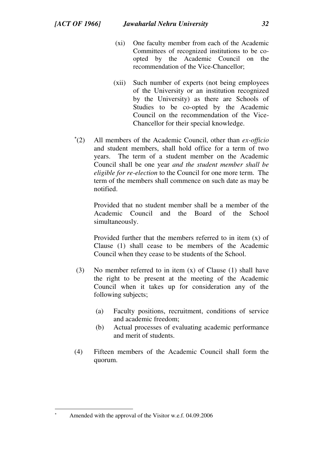- (xi) One faculty member from each of the Academic Committees of recognized institutions to be coopted by the Academic Council on the recommendation of the Vice-Chancellor;
- (xii) Such number of experts (not being employees of the University or an institution recognized by the University) as there are Schools of Studies to be co-opted by the Academic Council on the recommendation of the Vice-Chancellor for their special knowledge.
- $(2)$ (2) All members of the Academic Council, other than *ex-officio* and student members, shall hold office for a term of two years. The term of a student member on the Academic Council shall be one year *and the student member shall be eligible for re-election* to the Council for one more term. The term of the members shall commence on such date as may be notified.

Provided that no student member shall be a member of the Academic Council and the Board of the School simultaneously.

Provided further that the members referred to in item (x) of Clause (1) shall cease to be members of the Academic Council when they cease to be students of the School.

- (3) No member referred to in item (x) of Clause (1) shall have the right to be present at the meeting of the Academic Council when it takes up for consideration any of the following subjects;
	- (a) Faculty positions, recruitment, conditions of service and academic freedom;
	- (b) Actual processes of evaluating academic performance and merit of students.
- (4) Fifteen members of the Academic Council shall form the quorum.

Amended with the approval of the Visitor w.e.f. 04.09.2006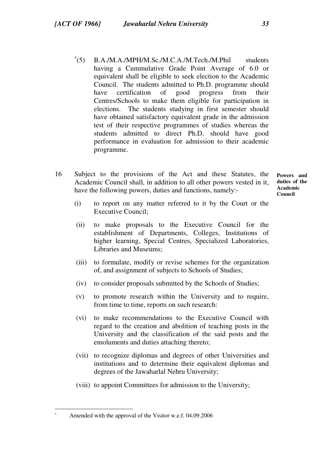- $(5)$ B.A./M.A./MPH/M.Sc./M.C.A./M.Tech./M.Phil students having a Cummulative Grade Point Average of 6.0 or equivalent shall be eligible to seek election to the Academic Council. The students admitted to Ph.D. programme should have certification of good progress from their Centres/Schools to make them eligible for participation in elections. The students studying in first semester should have obtained satisfactory equivalent grade in the admission test of their respective programmes of studies whereas the students admitted to direct Ph.D. should have good performance in evaluation for admission to their academic programme.
- 16 Subject to the provisions of the Act and these Statutes, the Academic Council shall, in addition to all other powers vested in it, have the following powers, duties and functions, namely:-**Powers and duties of the Academic Council** 
	- (i) to report on any matter referred to it by the Court or the Executive Council;
	- (ii) to make proposals to the Executive Council for the establishment of Departments, Colleges, Institutions of higher learning, Special Centres, Specialized Laboratories, Libraries and Museums;
	- (iii) to formulate, modify or revise schemes for the organization of, and assignment of subjects to Schools of Studies;
	- (iv) to consider proposals submitted by the Schools of Studies;
	- (v) to promote research within the University and to require, from time to time, reports on such research:
	- (vi) to make recommendations to the Executive Council with regard to the creation and abolition of teaching posts in the University and the classification of the said posts and the emoluments and duties attaching thereto;
	- (vii) to recognize diplomas and degrees of other Universities and institutions and to determine their equivalent diplomas and degrees of the Jawaharlal Nehru University;
	- (viii) to appoint Committees for admission to the University;

Amended with the approval of the Visitor w.e.f. 04.09.2006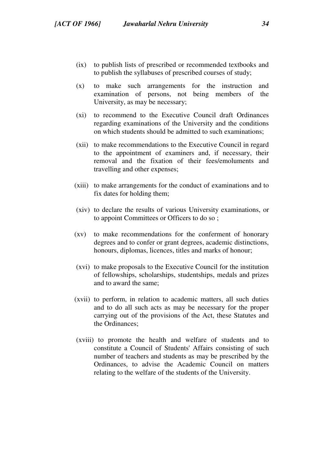- (ix) to publish lists of prescribed or recommended textbooks and to publish the syllabuses of prescribed courses of study;
- (x) to make such arrangements for the instruction and examination of persons, not being members of the University, as may be necessary;
- (xi) to recommend to the Executive Council draft Ordinances regarding examinations of the University and the conditions on which students should be admitted to such examinations;
- (xii) to make recommendations to the Executive Council in regard to the appointment of examiners and, if necessary, their removal and the fixation of their fees/emoluments and travelling and other expenses;
- (xiii) to make arrangements for the conduct of examinations and to fix dates for holding them;
- (xiv) to declare the results of various University examinations, or to appoint Committees or Officers to do so ;
- (xv) to make recommendations for the conferment of honorary degrees and to confer or grant degrees, academic distinctions, honours, diplomas, licences, titles and marks of honour;
- (xvi) to make proposals to the Executive Council for the institution of fellowships, scholarships, studentships, medals and prizes and to award the same;
- (xvii) to perform, in relation to academic matters, all such duties and to do all such acts as may be necessary for the proper carrying out of the provisions of the Act, these Statutes and the Ordinances;
- (xviii) to promote the health and welfare of students and to constitute a Council of Students' Affairs consisting of such number of teachers and students as may be prescribed by the Ordinances, to advise the Academic Council on matters relating to the welfare of the students of the University.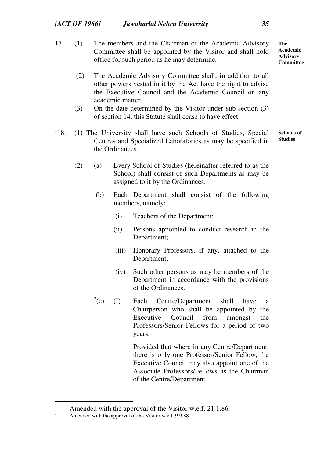- 17. (1) The members and the Chairman of the Academic Advisory Committee shall be appointed by the Visitor and shall hold office for such period as he may determine. **The Academic Advisory Committee** 
	- (2) The Academic Advisory Committee shall, in addition to all other powers vested in it by the Act have the right to advise the Executive Council and the Academic Council on any academic matter.
	- (3) On the date determined by the Visitor under sub-section (3) of section 14, this Statute shall cease to have effect.
- $^{1}18.$ 18. (1) The University shall have such Schools of Studies, Special Centres and Specialized Laboratories as may be specified in the Ordinances. **Schools of Studies** 
	- (2) (a) Every School of Studies (hereinafter referred to as the School) shall consist of such Departments as may be assigned to it by the Ordinances.
		- (b) Each Department shall consist of the following members, namely;
			- (i) Teachers of the Department;
			- (ii) Persons appointed to conduct research in the Department;
			- (iii) Honorary Professors, if any, attached to the Department;
			- (iv) Such other persons as may be members of the Department in accordance with the provisions of the Ordinances.
		- $^{2}(c)$ (I) Each Centre/Department shall have a Chairperson who shall be appointed by the Executive Council from amongst the Professors/Senior Fellows for a period of two years.

Provided that where in any Centre/Department, there is only one Professor/Senior Fellow, the Executive Council may also appoint one of the Associate Professors/Fellows as the Chairman of the Centre/Department.

Amended with the approval of the Visitor w.e.f. 21.1.86. 2

Amended with the approval of the Visitor w.e.f. 9.9.88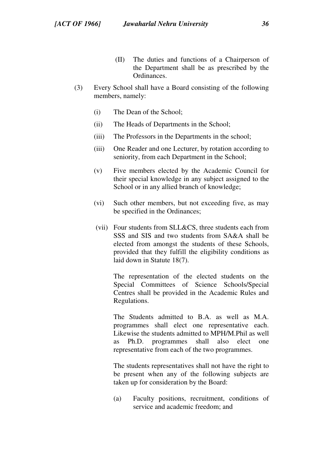- (II) The duties and functions of a Chairperson of the Department shall be as prescribed by the Ordinances.
- (3) Every School shall have a Board consisting of the following members, namely:
	- (i) The Dean of the School;
	- (ii) The Heads of Departments in the School;
	- (iii) The Professors in the Departments in the school;
	- (iii) One Reader and one Lecturer, by rotation according to seniority, from each Department in the School;
	- (v) Five members elected by the Academic Council for their special knowledge in any subject assigned to the School or in any allied branch of knowledge;
	- (vi) Such other members, but not exceeding five, as may be specified in the Ordinances;
	- (vii) Four students from SLL&CS, three students each from SSS and SIS and two students from SA&A shall be elected from amongst the students of these Schools, provided that they fulfill the eligibility conditions as laid down in Statute 18(7).

The representation of the elected students on the Special Committees of Science Schools/Special Centres shall be provided in the Academic Rules and Regulations.

The Students admitted to B.A. as well as M.A. programmes shall elect one representative each. Likewise the students admitted to MPH/M.Phil as well as Ph.D. programmes shall also elect one representative from each of the two programmes.

The students representatives shall not have the right to be present when any of the following subjects are taken up for consideration by the Board:

(a) Faculty positions, recruitment, conditions of service and academic freedom; and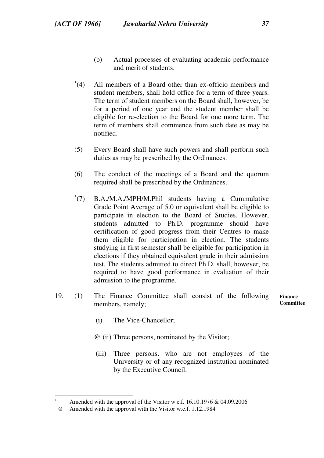- (b) Actual processes of evaluating academic performance and merit of students.
- $(4)$ All members of a Board other than ex-officio members and student members, shall hold office for a term of three years. The term of student members on the Board shall, however, be for a period of one year and the student member shall be eligible for re-election to the Board for one more term. The term of members shall commence from such date as may be notified.
- (5) Every Board shall have such powers and shall perform such duties as may be prescribed by the Ordinances.
- (6) The conduct of the meetings of a Board and the quorum required shall be prescribed by the Ordinances.
- $^*(7)$ (7) B.A./M.A./MPH/M.Phil students having a Cummulative Grade Point Average of 5.0 or equivalent shall be eligible to participate in election to the Board of Studies. However, students admitted to Ph.D. programme should have certification of good progress from their Centres to make them eligible for participation in election. The students studying in first semester shall be eligible for participation in elections if they obtained equivalent grade in their admission test. The students admitted to direct Ph.D. shall, however, be required to have good performance in evaluation of their admission to the programme.
- 19. (1) The Finance Committee shall consist of the following members, namely; **Finance**

**Committee** 

- (i) The Vice-Chancellor;
- @ (ii) Three persons, nominated by the Visitor;
	- (iii) Three persons, who are not employees of the University or of any recognized institution nominated by the Executive Council.

Amended with the approval of the Visitor w.e.f. 16.10.1976 & 04.09.2006

 <sup>@</sup> Amended with the approval with the Visitor w.e.f. 1.12.1984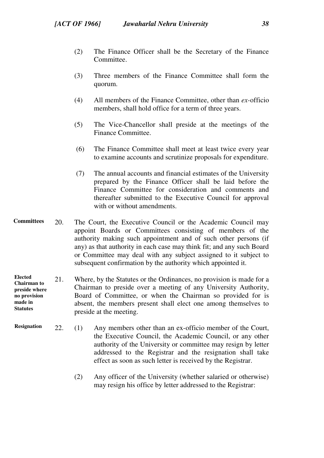- (2) The Finance Officer shall be the Secretary of the Finance Committee.
- (3) Three members of the Finance Committee shall form the quorum.
- (4) All members of the Finance Committee, other than *ex-*officio members, shall hold office for a term of three years.
- (5) The Vice-Chancellor shall preside at the meetings of the Finance Committee.
- (6) The Finance Committee shall meet at least twice every year to examine accounts and scrutinize proposals for expenditure.
- (7) The annual accounts and financial estimates of the University prepared by the Finance Officer shall be laid before the Finance Committee for consideration and comments and thereafter submitted to the Executive Council for approval with or without amendments.
- 20. The Court, the Executive Council or the Academic Council may appoint Boards or Committees consisting of members of the authority making such appointment and of such other persons (if any) as that authority in each case may think fit; and any such Board or Committee may deal with any subject assigned to it subject to subsequent confirmation by the authority which appointed it. **Committees**
- 21. Where, by the Statutes or the Ordinances, no provision is made for a Chairman to preside over a meeting of any University Authority, Board of Committee, or when the Chairman so provided for is absent, the members present shall elect one among themselves to preside at the meeting. **Elected Chairman to preside where no provision made in Statutes**
- 22. (1) Any members other than an ex-officio member of the Court, the Executive Council, the Academic Council, or any other authority of the University or committee may resign by letter addressed to the Registrar and the resignation shall take effect as soon as such letter is received by the Registrar. **Resignation** 
	- (2) Any officer of the University (whether salaried or otherwise) may resign his office by letter addressed to the Registrar: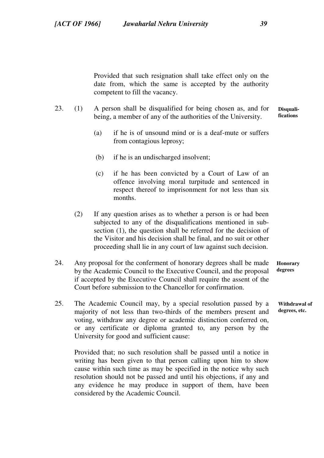Provided that such resignation shall take effect only on the date from, which the same is accepted by the authority competent to fill the vacancy.

- 23. (1) A person shall be disqualified for being chosen as, and for being, a member of any of the authorities of the University. **fications** 
	- (a) if he is of unsound mind or is a deaf-mute or suffers from contagious leprosy;
	- (b) if he is an undischarged insolvent;
	- (c) if he has been convicted by a Court of Law of an offence involving moral turpitude and sentenced in respect thereof to imprisonment for not less than six months.
	- (2) If any question arises as to whether a person is or had been subjected to any of the disqualifications mentioned in subsection (1), the question shall be referred for the decision of the Visitor and his decision shall be final, and no suit or other proceeding shall lie in any court of law against such decision.
- 24. Any proposal for the conferment of honorary degrees shall be made by the Academic Council to the Executive Council, and the proposal if accepted by the Executive Council shall require the assent of the Court before submission to the Chancellor for confirmation.
- 25. The Academic Council may, by a special resolution passed by a majority of not less than two-thirds of the members present and voting, withdraw any degree or academic distinction conferred on, or any certificate or diploma granted to, any person by the University for good and sufficient cause:

Provided that; no such resolution shall be passed until a notice in writing has been given to that person calling upon him to show cause within such time as may be specified in the notice why such resolution should not be passed and until his objections, if any and any evidence he may produce in support of them, have been considered by the Academic Council.

**Honorary degrees** 

**Withdrawal of degrees, etc.** 

**Disquali-**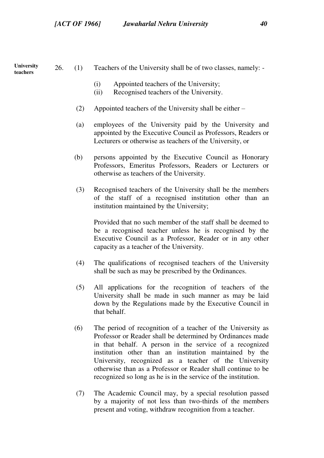**University teachers** 

26. (1) Teachers of the University shall be of two classes, namely: -

- (i) Appointed teachers of the University;
- (ii) Recognised teachers of the University.
- (2) Appointed teachers of the University shall be either –
- (a) employees of the University paid by the University and appointed by the Executive Council as Professors, Readers or Lecturers or otherwise as teachers of the University, or
- (b) persons appointed by the Executive Council as Honorary Professors, Emeritus Professors, Readers or Lecturers or otherwise as teachers of the University.
- (3) Recognised teachers of the University shall be the members of the staff of a recognised institution other than an institution maintained by the University;

Provided that no such member of the staff shall be deemed to be a recognised teacher unless he is recognised by the Executive Council as a Professor, Reader or in any other capacity as a teacher of the University.

- (4) The qualifications of recognised teachers of the University shall be such as may be prescribed by the Ordinances.
- (5) All applications for the recognition of teachers of the University shall be made in such manner as may be laid down by the Regulations made by the Executive Council in that behalf.
- (6) The period of recognition of a teacher of the University as Professor or Reader shall be determined by Ordinances made in that behalf. A person in the service of a recognized institution other than an institution maintained by the University, recognized as a teacher of the University otherwise than as a Professor or Reader shall continue to be recognized so long as he is in the service of the institution.
- (7) The Academic Council may, by a special resolution passed by a majority of not less than two-thirds of the members present and voting, withdraw recognition from a teacher.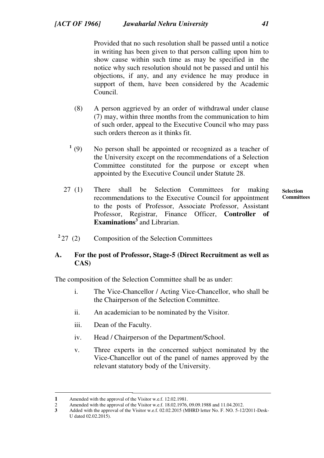Provided that no such resolution shall be passed until a notice in writing has been given to that person calling upon him to show cause within such time as may be specified in the notice why such resolution should not be passed and until his objections, if any, and any evidence he may produce in support of them, have been considered by the Academic Council.

- (8) A person aggrieved by an order of withdrawal under clause (7) may, within three months from the communication to him of such order, appeal to the Executive Council who may pass such orders thereon as it thinks fit.
- $^{1}(9)$ No person shall be appointed or recognized as a teacher of the University except on the recommendations of a Selection Committee constituted for the purpose or except when appointed by the Executive Council under Statute 28.
- **Selection Committees**  27 (1) There shall be Selection Committees for making recommendations to the Executive Council for appointment to the posts of Professor, Associate Professor, Assistant Professor, Registrar, Finance Officer, **Controller of Examinations<sup>3</sup>** and Librarian.
- <sup>2</sup> 27 (2) Composition of the Selection Committees

## **A. For the post of Professor, Stage-5 (Direct Recruitment as well as CAS)**

The composition of the Selection Committee shall be as under:

- i. The Vice-Chancellor / Acting Vice-Chancellor, who shall be the Chairperson of the Selection Committee.
- ii. An academician to be nominated by the Visitor.
- iii. Dean of the Faculty.
- iv. Head / Chairperson of the Department/School.
- v. Three experts in the concerned subject nominated by the Vice-Chancellor out of the panel of names approved by the relevant statutory body of the University.

**<sup>1</sup>** Amended with the approval of the Visitor w.e.f. 12.02.1981.

<sup>2</sup> Amended with the approval of the Visitor w.e.f. 18.02.1976, 09.09.1988 and 11.04.2012.<br>3 Added with the approval of the Visitor w.e.f. 02.02.2015 (MHRD letter No. F. NO. 5-12

**<sup>3</sup>** Added with the approval of the Visitor w.e.f. 02.02.2015 (MHRD letter No. F. NO. 5-12/2011-Desk-U dated 02.02.2015).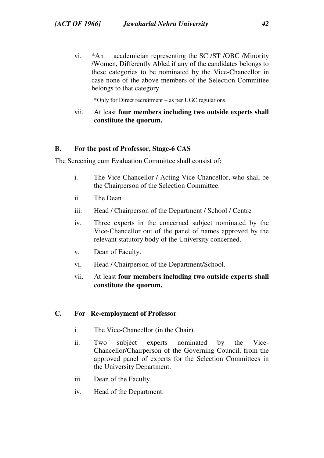vi. \*An academician representing the SC /ST /OBC /Minority /Women, Differently Abled if any of the candidates belongs to these categories to be nominated by the Vice-Chancellor in case none of the above members of the Selection Committee belongs to that category.

\*Only for Direct recruitment – as per UGC regulations.

vii. At least **four members including two outside experts shall constitute the quorum.**

## **B. For the post of Professor, Stage-6 CAS**

The Screening cum Evaluation Committee shall consist of;

- i. The Vice-Chancellor / Acting Vice-Chancellor, who shall be the Chairperson of the Selection Committee.
- ii. The Dean
- iii. Head / Chairperson of the Department / School / Centre
- iv. Three experts in the concerned subject nominated by the Vice-Chancellor out of the panel of names approved by the relevant statutory body of the University concerned.
- v. Dean of Faculty.
- vi. Head / Chairperson of the Department/School.
- vii. At least **four members including two outside experts shall constitute the quorum.**

## **C. For Re-employment of Professor**

- i. The Vice-Chancellor (in the Chair).
- ii. Two subject experts nominated by the Vice-Chancellor/Chairperson of the Governing Council, from the approved panel of experts for the Selection Committees in the University Department.
- iii. Dean of the Faculty.
- iv. Head of the Department.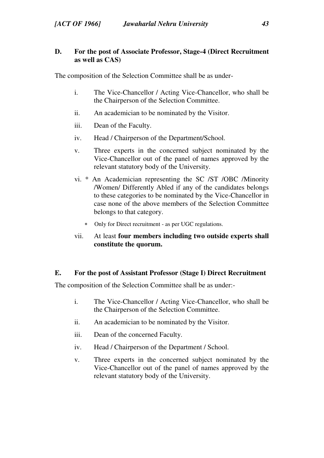## **D. For the post of Associate Professor, Stage-4 (Direct Recruitment as well as CAS)**

The composition of the Selection Committee shall be as under-

- i. The Vice-Chancellor / Acting Vice-Chancellor, who shall be the Chairperson of the Selection Committee.
- ii. An academician to be nominated by the Visitor.
- iii. Dean of the Faculty.
- iv. Head / Chairperson of the Department/School.
- v. Three experts in the concerned subject nominated by the Vice-Chancellor out of the panel of names approved by the relevant statutory body of the University.
- vi. \* An Academician representing the SC /ST /OBC /Minority /Women/ Differently Abled if any of the candidates belongs to these categories to be nominated by the Vice-Chancellor in case none of the above members of the Selection Committee belongs to that category.
	- Only for Direct recruitment as per UGC regulations.
- vii. At least **four members including two outside experts shall constitute the quorum.**

### **E. For the post of Assistant Professor (Stage I) Direct Recruitment**

The composition of the Selection Committee shall be as under:-

- i. The Vice-Chancellor / Acting Vice-Chancellor, who shall be the Chairperson of the Selection Committee.
- ii. An academician to be nominated by the Visitor.
- iii. Dean of the concerned Faculty.
- iv. Head / Chairperson of the Department / School.
- v. Three experts in the concerned subject nominated by the Vice-Chancellor out of the panel of names approved by the relevant statutory body of the University.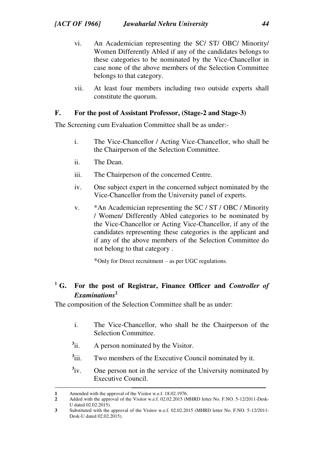- vi. An Academician representing the SC/ ST/ OBC/ Minority/ Women Differently Abled if any of the candidates belongs to these categories to be nominated by the Vice-Chancellor in case none of the above members of the Selection Committee belongs to that category.
- vii. At least four members including two outside experts shall constitute the quorum.

## **F. For the post of Assistant Professor, (Stage-2 and Stage-3)**

The Screening cum Evaluation Committee shall be as under:-

- i. The Vice-Chancellor / Acting Vice-Chancellor, who shall be the Chairperson of the Selection Committee.
- ii. The Dean.
- iii. The Chairperson of the concerned Centre.
- iv. One subject expert in the concerned subject nominated by the Vice-Chancellor from the University panel of experts.
- v. \*An Academician representing the SC / ST / OBC / Minority / Women/ Differently Abled categories to be nominated by the Vice-Chancellor or Acting Vice-Chancellor, if any of the candidates representing these categories is the applicant and if any of the above members of the Selection Committee do not belong to that category .

\*Only for Direct recruitment – as per UGC regulations.

## **<sup>1</sup><sup>1</sup>G. For the post of Registrar, Finance Officer and** *Controller of Examinations***<sup>2</sup>**

The composition of the Selection Committee shall be as under:

- i. The Vice-Chancellor, who shall be the Chairperson of the Selection Committee.
- $3\ddot{i}$ A person nominated by the Visitor.
- $3\ddot{\text{iii}}$ . Two members of the Executive Council nominated by it.
- $3_{\rm iv}$ One person not in the service of the University nominated by Executive Council.

 $\overline{a}$ **1** Amended with the approval of the Visitor w.e.f. 18.02.1976.

**<sup>2</sup>** Added with the approval of the Visitor w.e.f. 02.02.2015 (MHRD letter No. F.NO. 5-12/2011-Desk-U dated 02.02.2015).

**<sup>3</sup>** Substituted with the approval of the Visitor w.e.f. 02.02.2015 (MHRD letter No. F.NO. 5-12/2011- Desk-U dated 02.02.2015).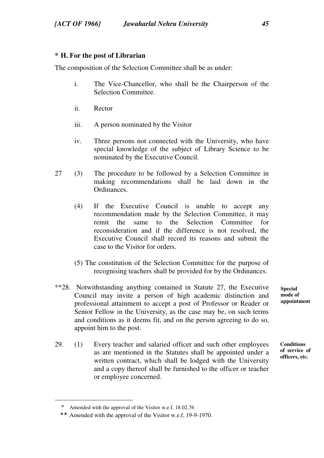## **\* <sup>1</sup>H. For the post of Librarian**

The composition of the Selection Committee shall be as under:

- i. The Vice-Chancellor, who shall be the Chairperson of the Selection Committee.
- ii. Rector
- iii. A person nominated by the Visitor
- iv. Three persons not connected with the University, who have special knowledge of the subject of Library Science to be nominated by the Executive Council.
- 27 (3) The procedure to be followed by a Selection Committee in making recommendations shall be laid down in the Ordinances.
	- (4) If the Executive Council is unable to accept any recommendation made by the Selection Committee, it may remit the same to the Selection Committee for reconsideration and if the difference is not resolved, the Executive Council shall record its reasons and submit the case to the Visitor for orders.
	- (5) The constitution of the Selection Committee for the purpose of recognising teachers shall be provided for by the Ordinances.
- \*\*28. Notwithstanding anything contained in Statute 27, the Executive Council may invite a person of high academic distinction and professional attainment to accept a post of Professor or Reader or Senior Fellow in the University, as the case may be, on such terms and conditions as it deems fit, and on the person agreeing to do so, appoint him to the post.
- 29. (1) Every teacher and salaried officer and such other employees as are mentioned in the Statutes shall be appointed under a written contract, which shall be lodged with the University and a copy thereof shall be furnished to the officer or teacher or employee concerned.

**Special mode of appointment** 

**Conditions of service of officers, etc.** 

\* Amended with the approval of the Visitor w.e.f. 18.02.76

<sup>\*\*</sup> Amended with the approval of the Visitor w.e.f, 19-9-1970.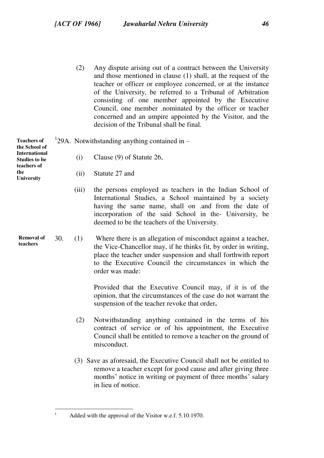(2) Any dispute arising out of a contract between the University and those mentioned in clause (1) shall, at the request of the teacher or officer or employee concerned, or at the instance of the University, be referred to a Tribunal of Arbitration consisting of one member appointed by the Executive Council, one member .nominated by the officer or teacher concerned and an umpire appointed by the Visitor, and the decision of the Tribunal shall be final.

| <b>Teachers of</b><br>the School of          |     | $129A$ . Notwithstanding anything contained in $-$ |                                                                                                                                                                                                                                                                                       |  |  |  |  |  |
|----------------------------------------------|-----|----------------------------------------------------|---------------------------------------------------------------------------------------------------------------------------------------------------------------------------------------------------------------------------------------------------------------------------------------|--|--|--|--|--|
| <b>International</b><br><b>Studies to be</b> |     | (i)                                                | Clause (9) of Statute 26,                                                                                                                                                                                                                                                             |  |  |  |  |  |
| teachers of<br>the<br>University             |     | (ii)                                               | Statute 27 and                                                                                                                                                                                                                                                                        |  |  |  |  |  |
|                                              |     | (iii)                                              | the persons employed as teachers in the Indian School of<br>International Studies, a School maintained by a society<br>having the same name, shall on .and from the date of<br>incorporation of the said School in the University, be<br>deemed to be the teachers of the University. |  |  |  |  |  |
| Removal of<br>teachers                       | 30. | (1)                                                | Where there is an allegation of misconduct against a teacher,<br>the Vice-Chancellor may, if he thinks fit, by order in writing,<br>place the teacher under suspension and shall forthwith report<br>to the Executive Council the circumstances in which the<br>order was made:       |  |  |  |  |  |
|                                              |     |                                                    | Provided that the Executive Council may, if it is of the<br>opinion, that the circumstances of the case do not warrant the<br>suspension of the teacher revoke that order.                                                                                                            |  |  |  |  |  |
|                                              |     | (2)                                                | Notwithstanding anything contained in the terms of his<br>contract of service or of his appointment, the Executive<br>Council shall be entitled to remove a teacher on the ground of<br>misconduct.                                                                                   |  |  |  |  |  |
|                                              |     |                                                    | (3) Save as aforesaid, the Executive Council shall not be entitled to<br>remove a teacher except for good cause and after giving three<br>months' notice in writing or payment of three months' salary<br>in lieu of notice.                                                          |  |  |  |  |  |

 $\frac{1}{1}$ 

Added with the approval of the Visitor w.e.f. 5.10.1970.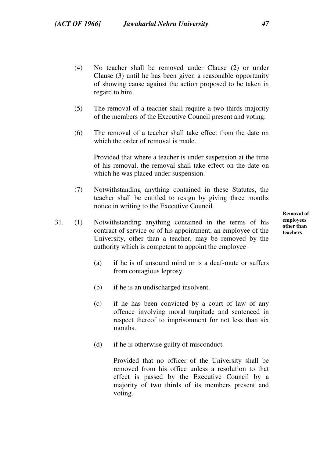- (4) No teacher shall be removed under Clause (2) or under Clause (3) until he has been given a reasonable opportunity of showing cause against the action proposed to be taken in regard to him.
- (5) The removal of a teacher shall require a two-thirds majority of the members of the Executive Council present and voting.
- (6) The removal of a teacher shall take effect from the date on which the order of removal is made.

Provided that where a teacher is under suspension at the time of his removal, the removal shall take effect on the date on which he was placed under suspension.

- (7) Notwithstanding anything contained in these Statutes, the teacher shall be entitled to resign by giving three months notice in writing to the Executive Council.
- 31. (1) Notwithstanding anything contained in the terms of his contract of service or of his appointment, an employee of the University, other than a teacher, may be removed by the authority which is competent to appoint the employee –
	- (a) if he is of unsound mind or is a deaf-mute or suffers from contagious leprosy.
	- (b) if he is an undischarged insolvent.
	- (c) if he has been convicted by a court of law of any offence involving moral turpitude and sentenced in respect thereof to imprisonment for not less than six months.
	- (d) if he is otherwise guilty of misconduct.

Provided that no officer of the University shall be removed from his office unless a resolution to that effect is passed by the Executive Council by a majority of two thirds of its members present and voting.

**Removal of employees other than teachers**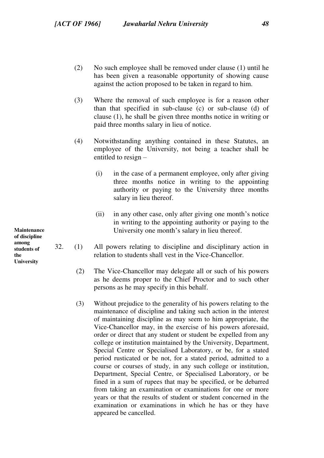- (2) No such employee shall be removed under clause (1) until he has been given a reasonable opportunity of showing cause against the action proposed to be taken in regard to him.
- (3) Where the removal of such employee is for a reason other than that specified in sub-clause (c) or sub-clause (d) of clause (1), he shall be given three months notice in writing or paid three months salary in lieu of notice.
- (4) Notwithstanding anything contained in these Statutes, an employee of the University, not being a teacher shall be entitled to resign –
	- (i) in the case of a permanent employee, only after giving three months notice in writing to the appointing authority or paying to the University three months salary in lieu thereof.
	- (ii) in any other case, only after giving one month's notice in writing to the appointing authority or paying to the University one month's salary in lieu thereof.
- 32. (1) All powers relating to discipline and disciplinary action in relation to students shall vest in the Vice-Chancellor.
	- (2) The Vice-Chancellor may delegate all or such of his powers as he deems proper to the Chief Proctor and to such other persons as he may specify in this behalf.
	- (3) Without prejudice to the generality of his powers relating to the maintenance of discipline and taking such action in the interest of maintaining discipline as may seem to him appropriate, the Vice-Chancellor may, in the exercise of his powers aforesaid, order or direct that any student or student be expelled from any college or institution maintained by the University, Department, Special Centre or Specialised Laboratory, or be, for a stated period rusticated or be not, for a stated period, admitted to a course or courses of study, in any such college or institution, Department, Special Centre, or Specialised Laboratory, or be fined in a sum of rupees that may be specified, or be debarred from taking an examination or examinations for one or more years or that the results of student or student concerned in the examination or examinations in which he has or they have appeared be cancelled.

**Maintenance of discipline among students of the University**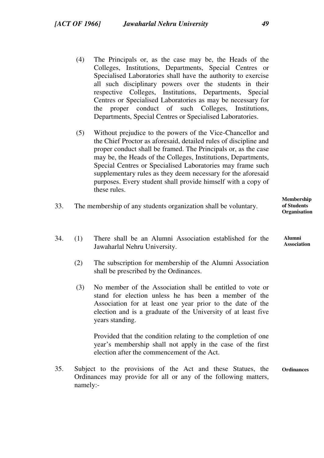- (4) The Principals or, as the case may be, the Heads of the Colleges, Institutions, Departments, Special Centres or Specialised Laboratories shall have the authority to exercise all such disciplinary powers over the students in their respective Colleges, Institutions, Departments, Special Centres or Specialised Laboratories as may be necessary for the proper conduct of such Colleges, Institutions, Departments, Special Centres or Specialised Laboratories.
- (5) Without prejudice to the powers of the Vice-Chancellor and the Chief Proctor as aforesaid, detailed rules of discipline and proper conduct shall be framed. The Principals or, as the case may be, the Heads of the Colleges, Institutions, Departments, Special Centres or Specialised Laboratories may frame such supplementary rules as they deem necessary for the aforesaid purposes. Every student shall provide himself with a copy of these rules.

| The membership of any students organization shall be voluntary. | Membership<br>of Students<br><b>Organisation</b> |
|-----------------------------------------------------------------|--------------------------------------------------|
|                                                                 |                                                  |

- 34. (1) There shall be an Alumni Association established for the Jawaharlal Nehru University.
	- (2) The subscription for membership of the Alumni Association shall be prescribed by the Ordinances.
	- (3) No member of the Association shall be entitled to vote or stand for election unless he has been a member of the Association for at least one year prior to the date of the election and is a graduate of the University of at least five years standing.

Provided that the condition relating to the completion of one year's membership shall not apply in the case of the first election after the commencement of the Act.

**Ordinances**  35. Subject to the provisions of the Act and these Statues, the Ordinances may provide for all or any of the following matters, namely:-

**Alumni Association**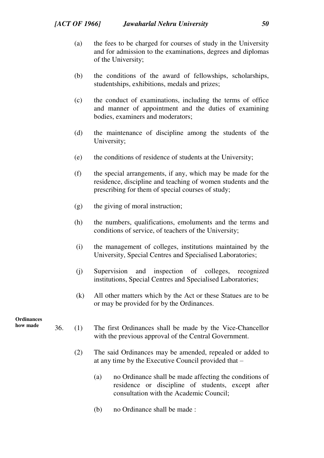- (a) the fees to be charged for courses of study in the University and for admission to the examinations, degrees and diplomas of the University;
- (b) the conditions of the award of fellowships, scholarships, studentships, exhibitions, medals and prizes;
- (c) the conduct of examinations, including the terms of office and manner of appointment and the duties of examining bodies, examiners and moderators;
- (d) the maintenance of discipline among the students of the University;
- (e) the conditions of residence of students at the University;
- (f) the special arrangements, if any, which may be made for the residence, discipline and teaching of women students and the prescribing for them of special courses of study;
- (g) the giving of moral instruction;
- (h) the numbers, qualifications, emoluments and the terms and conditions of service, of teachers of the University;
- (i) the management of colleges, institutions maintained by the University, Special Centres and Specialised Laboratories;
- (j) Supervision and inspection of colleges, recognized institutions, Special Centres and Specialised Laboratories;
- (k) All other matters which by the Act or these Statues are to be or may be provided for by the Ordinances.

**Ordinances** 

- **how made**
- 36. (1) The first Ordinances shall be made by the Vice-Chancellor with the previous approval of the Central Government.
	- (2) The said Ordinances may be amended, repealed or added to at any time by the Executive Council provided that –
		- (a) no Ordinance shall be made affecting the conditions of residence or discipline of students, except after consultation with the Academic Council;
		- (b) no Ordinance shall be made :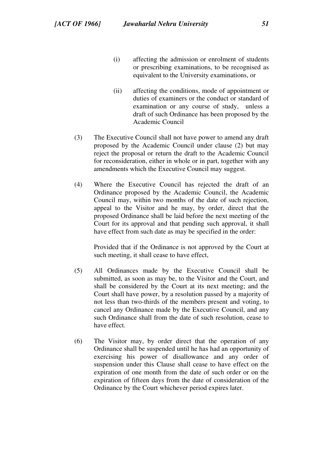- (i) affecting the admission or enrolment of students or prescribing examinations, to be recognised as equivalent to the University examinations, or
- (ii) affecting the conditions, mode of appointment or duties of examiners or the conduct or standard of examination or any course of study, unless a draft of such Ordinance has been proposed by the Academic Council
- (3) The Executive Council shall not have power to amend any draft proposed by the Academic Council under clause (2) but may reject the proposal or return the draft to the Academic Council for reconsideration, either in whole or in part, together with any amendments which the Executive Council may suggest.
- (4) Where the Executive Council has rejected the draft of an Ordinance proposed by the Academic Council, the Academic Council may, within two months of the date of such rejection, appeal to the Visitor and he may, by order, direct that the proposed Ordinance shall be laid before the next meeting of the Court for its approval and that pending such approval, it shall have effect from such date as may be specified in the order:

Provided that if the Ordinance is not approved by the Court at such meeting, it shall cease to have effect,

- (5) All Ordinances made by the Executive Council shall be submitted, as soon as may be, to the Visitor and the Court, and shall be considered by the Court at its next meeting; and the Court shall have power, by a resolution passed by a majority of not less than two-thirds of the members present and voting, to cancel any Ordinance made by the Executive Council, and any such Ordinance shall from the date of such resolution, cease to have effect.
- (6) The Visitor may, by order direct that the operation of any Ordinance shall be suspended until he has had an opportunity of exercising his power of disallowance and any order of suspension under this Clause shall cease to have effect on the expiration of one month from the date of such order or on the expiration of fifteen days from the date of consideration of the Ordinance by the Court whichever period expires later.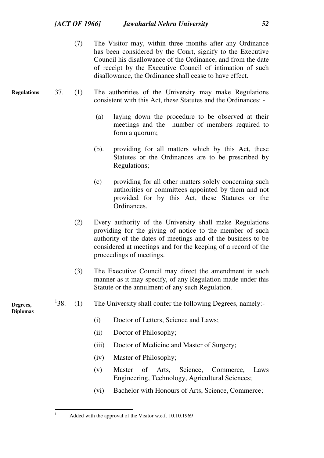|                             |      | (7) | The Visitor may, within three months after any Ordinance<br>has been considered by the Court, signify to the Executive<br>Council his disallowance of the Ordinance, and from the date<br>of receipt by the Executive Council of intimation of such<br>disallowance, the Ordinance shall cease to have effect. |
|-----------------------------|------|-----|----------------------------------------------------------------------------------------------------------------------------------------------------------------------------------------------------------------------------------------------------------------------------------------------------------------|
| <b>Regulations</b>          | 37.  | (1) | The authorities of the University may make Regulations<br>consistent with this Act, these Statutes and the Ordinances: -                                                                                                                                                                                       |
|                             |      |     | laying down the procedure to be observed at their<br>(a)<br>meetings and the number of members required to<br>form a quorum;                                                                                                                                                                                   |
|                             |      |     | providing for all matters which by this Act, these<br>(b).<br>Statutes or the Ordinances are to be prescribed by<br>Regulations;                                                                                                                                                                               |
|                             |      |     | providing for all other matters solely concerning such<br>(c)<br>authorities or committees appointed by them and not<br>provided for by this Act, these Statutes or the<br>Ordinances.                                                                                                                         |
|                             |      | (2) | Every authority of the University shall make Regulations<br>providing for the giving of notice to the member of such<br>authority of the dates of meetings and of the business to be<br>considered at meetings and for the keeping of a record of the<br>proceedings of meetings.                              |
|                             |      | (3) | The Executive Council may direct the amendment in such<br>manner as it may specify, of any Regulation made under this<br>Statute or the annulment of any such Regulation.                                                                                                                                      |
| Degrees,<br><b>Diplomas</b> | 138. | (1) | The University shall confer the following Degrees, namely:-                                                                                                                                                                                                                                                    |
|                             |      |     | (i)<br>Doctor of Letters, Science and Laws;                                                                                                                                                                                                                                                                    |
|                             |      |     | (ii)<br>Doctor of Philosophy;                                                                                                                                                                                                                                                                                  |
|                             |      |     | (iii)<br>Doctor of Medicine and Master of Surgery;                                                                                                                                                                                                                                                             |
|                             |      |     | Master of Philosophy;<br>(iv)                                                                                                                                                                                                                                                                                  |
|                             |      |     | <b>Master</b><br>Science,<br>Commerce,<br>(v)<br>of<br>Arts,<br>Laws                                                                                                                                                                                                                                           |

- Engineering, Technology, Agricultural Sciences;
- (vi) Bachelor with Honours of Arts, Science, Commerce;

|<br>|<br>|

Added with the approval of the Visitor w.e.f. 10.10.1969